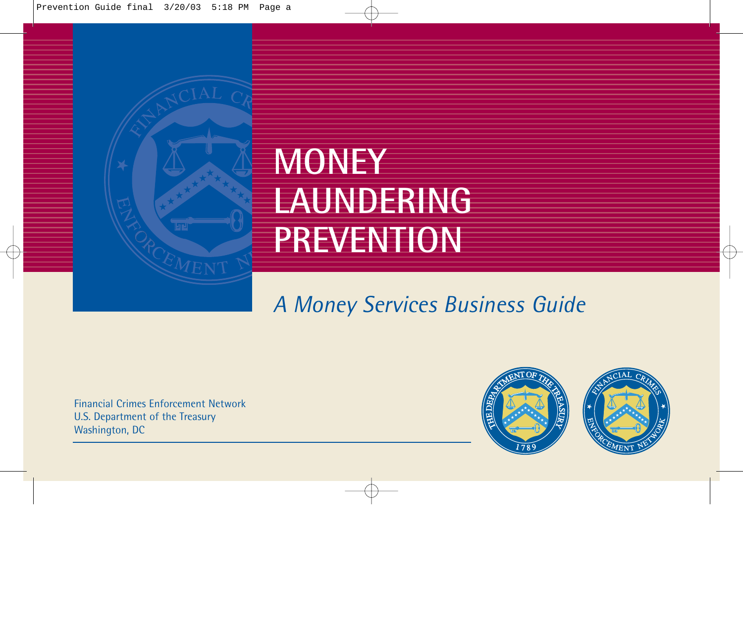

# *A Money Services Business Guide*

Financial Crimes Enforcement Network U.S. Department of the Treasury Washington, DC

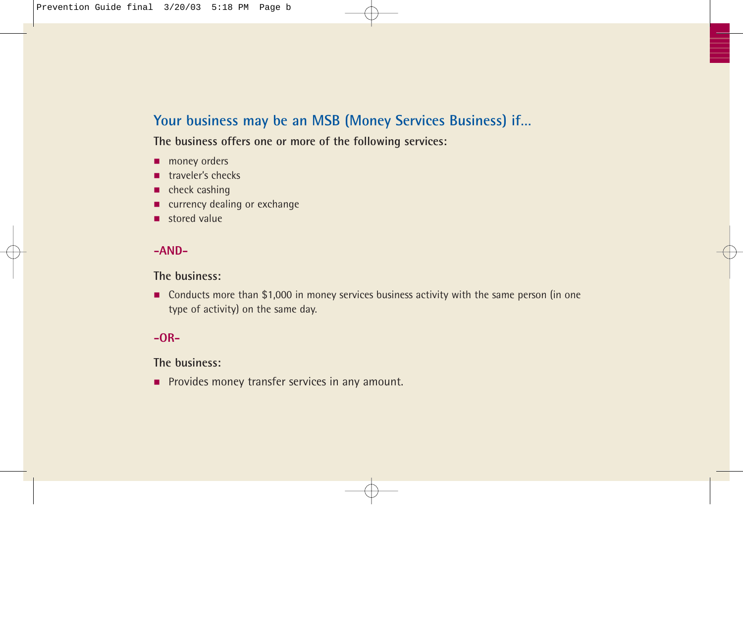### **Your business may be an MSB (Money Services Business) if…**

**The business offers one or more of the following services:**

- money orders
- traveler's checks
- check cashing
- currency dealing or exchange
- stored value

#### **-AND-**

#### **The business:**

■ Conducts more than \$1,000 in money services business activity with the same person (in one type of activity) on the same day.

#### **-OR-**

**The business:**

■ Provides money transfer services in any amount.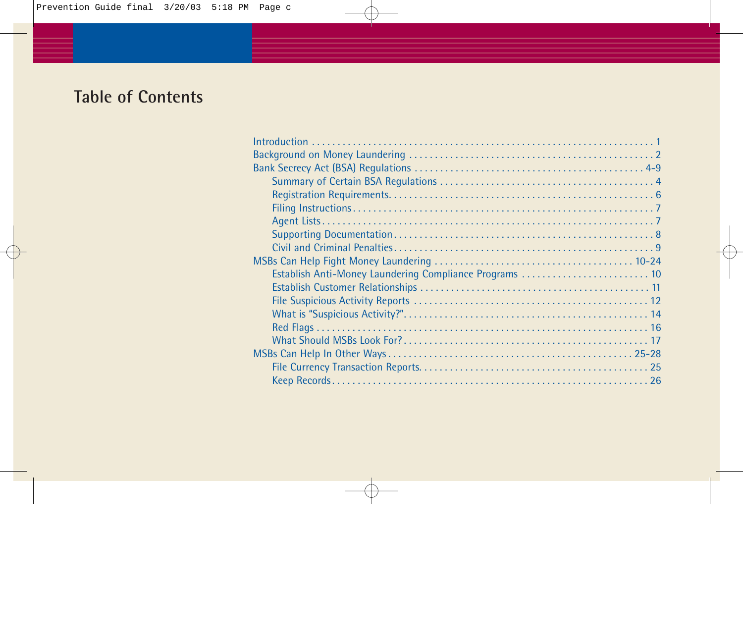## **Table of Contents**

| Establish Anti-Money Laundering Compliance Programs  10 |
|---------------------------------------------------------|
|                                                         |
|                                                         |
|                                                         |
|                                                         |
|                                                         |
|                                                         |
|                                                         |
|                                                         |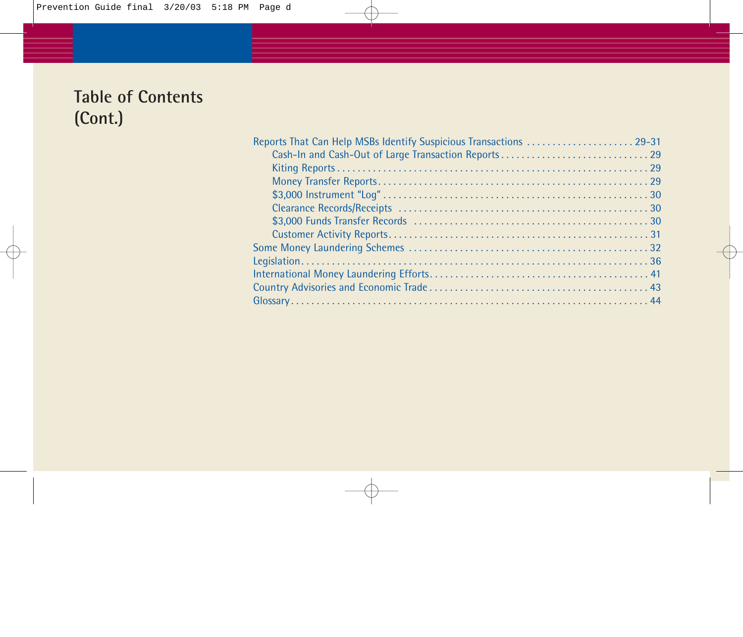## **Table of Contents (Cont.)**

| Reports That Can Help MSBs Identify Suspicious Transactions  29-31 |
|--------------------------------------------------------------------|
|                                                                    |
|                                                                    |
|                                                                    |
|                                                                    |
|                                                                    |
|                                                                    |
|                                                                    |
|                                                                    |
|                                                                    |
|                                                                    |
|                                                                    |
|                                                                    |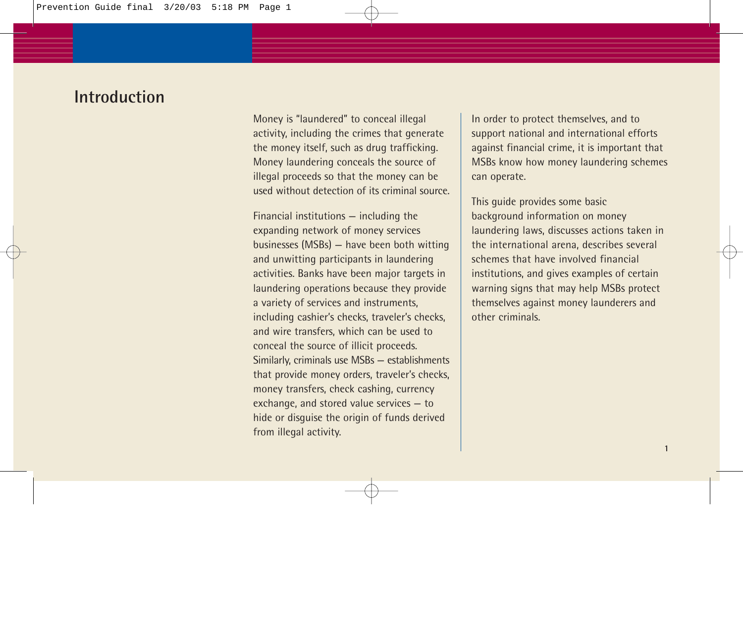### **Introduction**

Money is "laundered" to conceal illegal activity, including the crimes that generate the money itself, such as drug trafficking. Money laundering conceals the source of illegal proceeds so that the money can be used without detection of its criminal source.

Financial institutions — including the expanding network of money services businesses (MSBs) — have been both witting and unwitting participants in laundering activities. Banks have been major targets in laundering operations because they provide a variety of services and instruments, including cashier's checks, traveler's checks, and wire transfers, which can be used to conceal the source of illicit proceeds. Similarly, criminals use MSBs — establishments that provide money orders, traveler's checks, money transfers, check cashing, currency exchange, and stored value services — to hide or disguise the origin of funds derived from illegal activity.

In order to protect themselves, and to support national and international efforts against financial crime, it is important that MSBs know how money laundering schemes can operate.

This guide provides some basic background information on money laundering laws, discusses actions taken in the international arena, describes several schemes that have involved financial institutions, and gives examples of certain warning signs that may help MSBs protect themselves against money launderers and other criminals.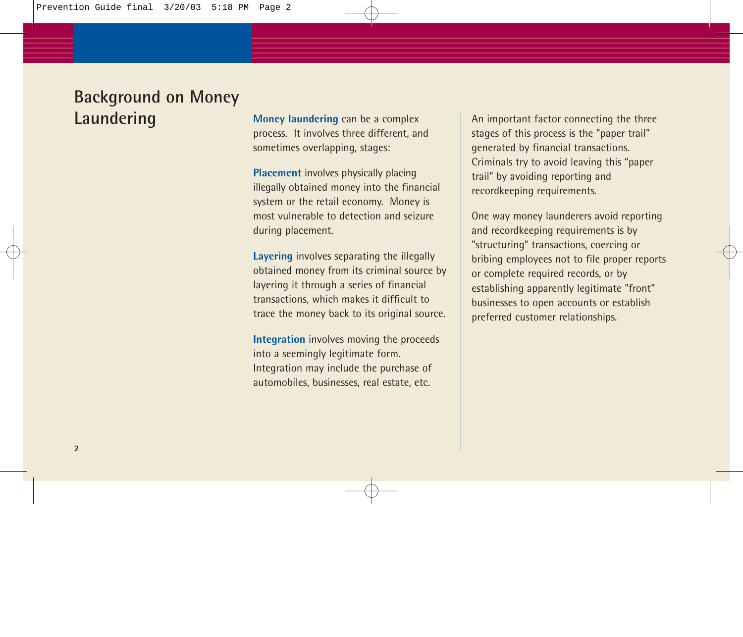## **Background on Money Laundering**

**Money laundering** can be a complex process. It involves three different, and sometimes overlapping, stages:

**Placement** involves physically placing illegally obtained money into the financial system or the retail economy. Money is most vulnerable to detection and seizure during placement.

**Layering** involves separating the illegally obtained money from its criminal source by layering it through a series of financial transactions, which makes it difficult to trace the money back to its original source.

**Integration** involves moving the proceeds into a seemingly legitimate form. Integration may include the purchase of automobiles, businesses, real estate, etc.

An important factor connecting the three stages of this process is the "paper trail" generated by financial transactions. Criminals try to avoid leaving this "paper trail" by avoiding reporting and recordkeeping requirements.

One way money launderers avoid reporting and recordkeeping requirements is by "structuring" transactions, coercing or bribing employees not to file proper reports or complete required records, or by establishing apparently legitimate "front" businesses to open accounts or establish preferred customer relationships.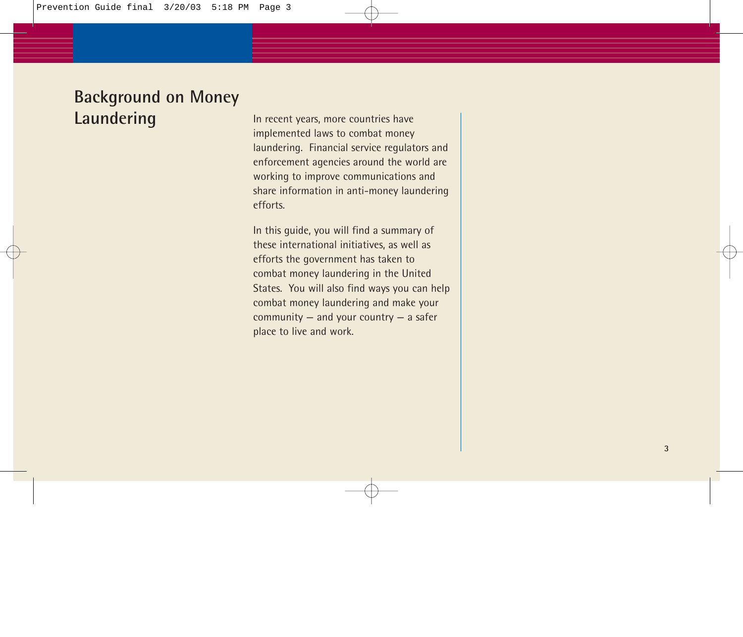## **Background on Money Laundering**

In recent years, more countries have implemented laws to combat money laundering. Financial service regulators and enforcement agencies around the world are working to improve communications and share information in anti-money laundering efforts.

In this guide, you will find a summary of these international initiatives, as well as efforts the government has taken to combat money laundering in the United States. You will also find ways you can help combat money laundering and make your community — and your country — a safer place to live and work.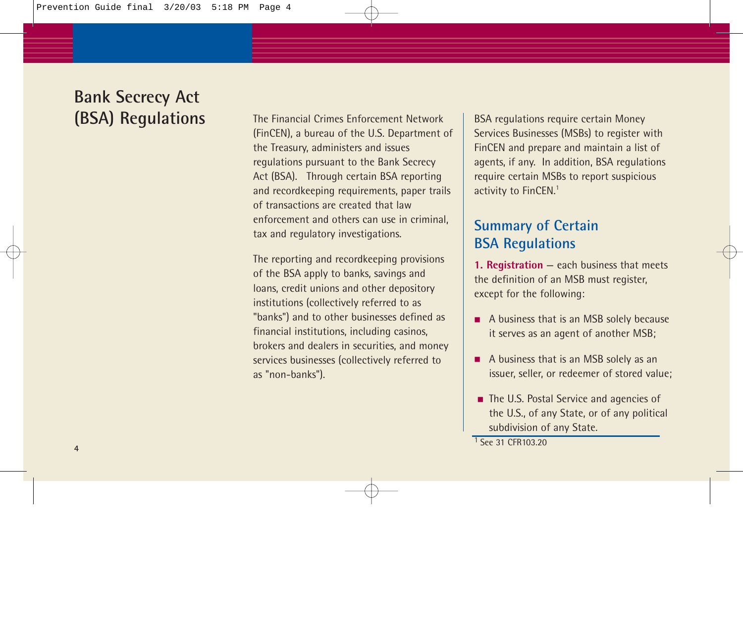The Financial Crimes Enforcement Network (FinCEN), a bureau of the U.S. Department of the Treasury, administers and issues regulations pursuant to the Bank Secrecy Act (BSA). Through certain BSA reporting and recordkeeping requirements, paper trails of transactions are created that law enforcement and others can use in criminal, tax and regulatory investigations.

The reporting and recordkeeping provisions of the BSA apply to banks, savings and loans, credit unions and other depository institutions (collectively referred to as "banks") and to other businesses defined as financial institutions, including casinos, brokers and dealers in securities, and money services businesses (collectively referred to as "non-banks").

BSA regulations require certain Money Services Businesses (MSBs) to register with FinCEN and prepare and maintain a list of agents, if any. In addition, BSA regulations require certain MSBs to report suspicious activity to FinCEN.<sup>1</sup>

### **Summary of Certain BSA Regulations**

**1. Registration** — each business that meets the definition of an MSB must register, except for the following:

- A business that is an MSB solely because it serves as an agent of another MSB;
- A business that is an MSB solely as an issuer, seller, or redeemer of stored value;
- The U.S. Postal Service and agencies of the U.S., of any State, or of any political subdivision of any State.

<sup>1</sup> See 31 CFR103.20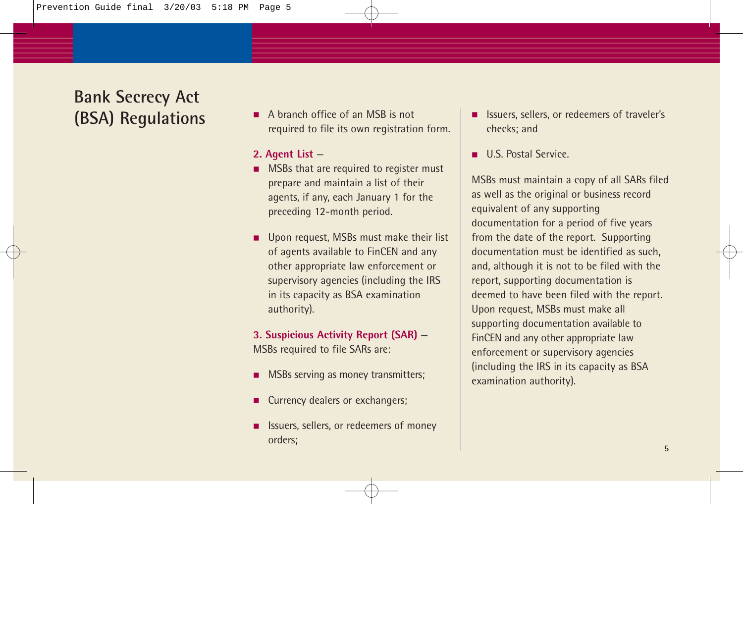■ A branch office of an MSB is not required to file its own registration form.

#### **2. Agent List** —

- MSBs that are required to register must prepare and maintain a list of their agents, if any, each January 1 for the preceding 12-month period.
- Upon request, MSBs must make their list of agents available to FinCEN and any other appropriate law enforcement or supervisory agencies (including the IRS in its capacity as BSA examination authority).

#### **3. Suspicious Activity Report (SAR)** — MSBs required to file SARs are:

- MSBs serving as money transmitters;
- Currency dealers or exchangers;
- Issuers, sellers, or redeemers of money orders;
- Issuers, sellers, or redeemers of traveler's checks; and
- U.S. Postal Service

MSBs must maintain a copy of all SARs filed as well as the original or business record equivalent of any supporting documentation for a period of five years from the date of the report. Supporting documentation must be identified as such, and, although it is not to be filed with the report, supporting documentation is deemed to have been filed with the report. Upon request, MSBs must make all supporting documentation available to FinCEN and any other appropriate law enforcement or supervisory agencies (including the IRS in its capacity as BSA examination authority).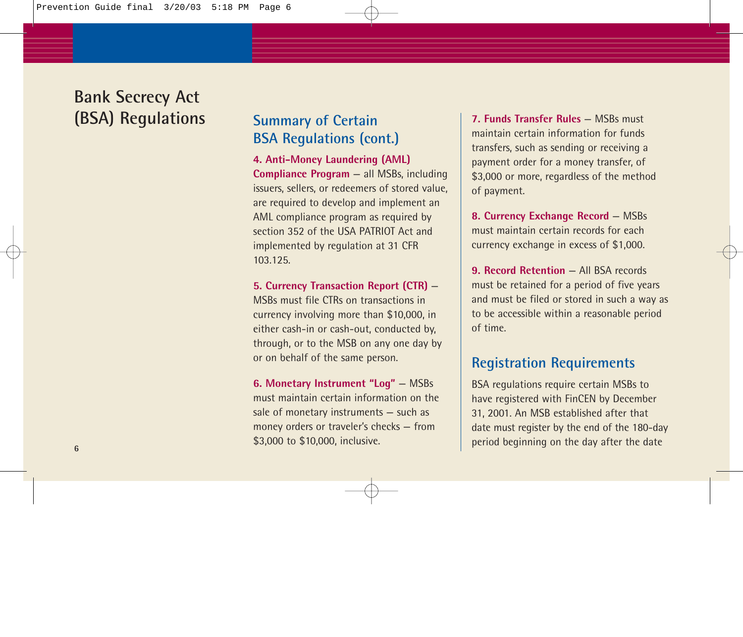### **Summary of Certain BSA Regulations (cont.)**

**4. Anti-Money Laundering (AML) Compliance Program** — all MSBs, including issuers, sellers, or redeemers of stored value, are required to develop and implement an AML compliance program as required by section 352 of the USA PATRIOT Act and implemented by regulation at 31 CFR 103.125.

**5. Currency Transaction Report (CTR)** — MSBs must file CTRs on transactions in currency involving more than \$10,000, in either cash-in or cash-out, conducted by, through, or to the MSB on any one day by or on behalf of the same person.

**6. Monetary Instrument "Log"** — MSBs must maintain certain information on the sale of monetary instruments — such as money orders or traveler's checks — from \$3,000 to \$10,000, inclusive.

**7. Funds Transfer Rules** — MSBs must maintain certain information for funds transfers, such as sending or receiving a payment order for a money transfer, of \$3,000 or more, regardless of the method of payment.

**8. Currency Exchange Record** — MSBs must maintain certain records for each currency exchange in excess of \$1,000.

**9. Record Retention** — All BSA records must be retained for a period of five years and must be filed or stored in such a way as to be accessible within a reasonable period of time.

### **Registration Requirements**

BSA regulations require certain MSBs to have registered with FinCEN by December 31, 2001. An MSB established after that date must register by the end of the 180-day period beginning on the day after the date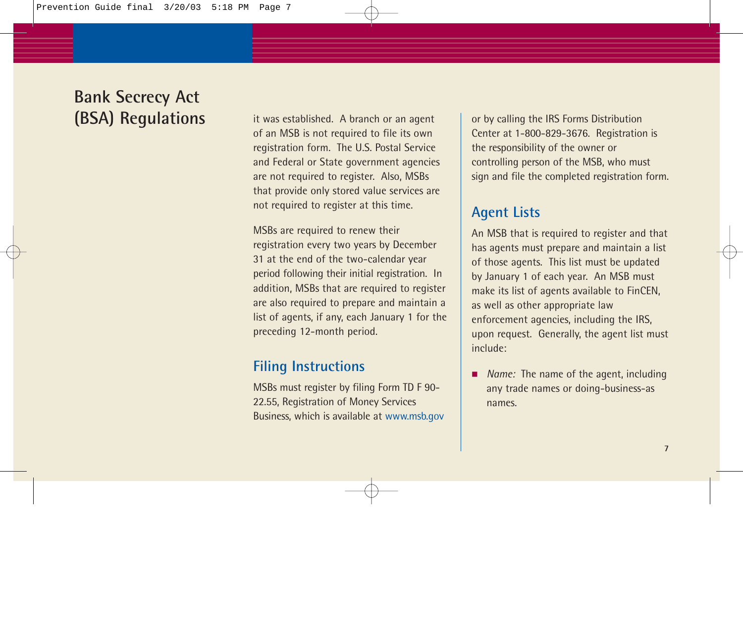it was established. A branch or an agent of an MSB is not required to file its own registration form. The U.S. Postal Service and Federal or State government agencies are not required to register. Also, MSBs that provide only stored value services are not required to register at this time.

MSBs are required to renew their registration every two years by December 31 at the end of the two-calendar year period following their initial registration. In addition, MSBs that are required to register are also required to prepare and maintain a list of agents, if any, each January 1 for the preceding 12-month period.

### **Filing Instructions**

MSBs must register by filing Form TD F 90- 22.55, Registration of Money Services Business, which is available at www.msb.gov or by calling the IRS Forms Distribution Center at 1-800-829-3676. Registration is the responsibility of the owner or controlling person of the MSB, who must sign and file the completed registration form.

### **Agent Lists**

An MSB that is required to register and that has agents must prepare and maintain a list of those agents. This list must be updated by January 1 of each year. An MSB must make its list of agents available to FinCEN, as well as other appropriate law enforcement agencies, including the IRS, upon request. Generally, the agent list must include:

■ *Name:* The name of the agent, including any trade names or doing-business-as names.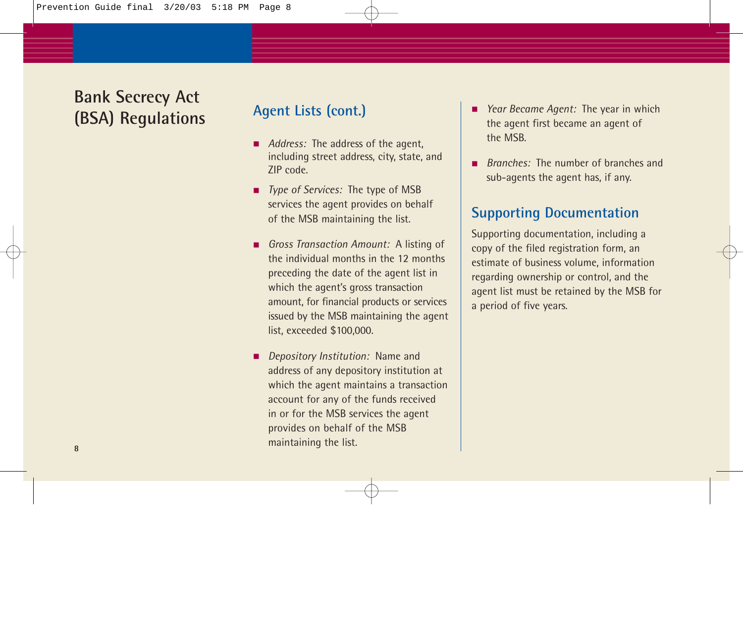### **Agent Lists (cont.)**

- *Address:* The address of the agent, including street address, city, state, and ZIP code.
- *Type of Services:* The type of MSB services the agent provides on behalf of the MSB maintaining the list.
- *Gross Transaction Amount:* A listing of the individual months in the 12 months preceding the date of the agent list in which the agent's gross transaction amount, for financial products or services issued by the MSB maintaining the agent list, exceeded \$100,000.
- *Depository Institution:* Name and address of any depository institution at which the agent maintains a transaction account for any of the funds received in or for the MSB services the agent provides on behalf of the MSB maintaining the list.
- *Year Became Agent:* The year in which the agent first became an agent of the MSB.
- *Branches:* The number of branches and sub-agents the agent has, if any.

### **Supporting Documentation**

Supporting documentation, including a copy of the filed registration form, an estimate of business volume, information regarding ownership or control, and the agent list must be retained by the MSB for a period of five years.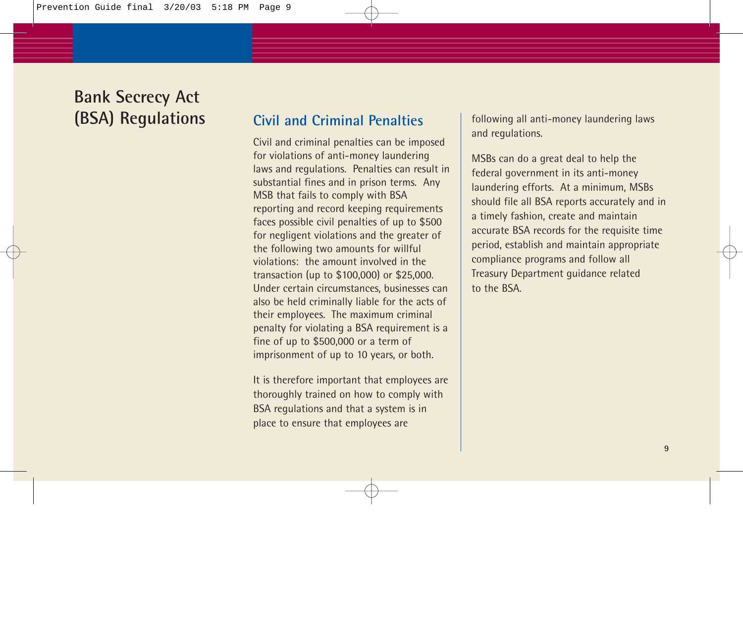### **Civil and Criminal Penalties**

Civil and criminal penalties can be imposed for violations of anti-money laundering laws and regulations. Penalties can result in substantial fines and in prison terms. Any MSB that fails to comply with BSA reporting and record keeping requirements faces possible civil penalties of up to \$500 for negligent violations and the greater of the following two amounts for willful violations: the amount involved in the transaction (up to \$100,000) or \$25,000. Under certain circumstances, businesses can also be held criminally liable for the acts of their employees. The maximum criminal penalty for violating a BSA requirement is a fine of up to \$500,000 or a term of imprisonment of up to 10 years, or both.

It is therefore important that employees are thoroughly trained on how to comply with BSA regulations and that a system is in place to ensure that employees are

following all anti-money laundering laws and regulations.

MSBs can do a great deal to help the federal government in its anti-money laundering efforts. At a minimum, MSBs should file all BSA reports accurately and in a timely fashion, create and maintain accurate BSA records for the requisite time period, establish and maintain appropriate compliance programs and follow all Treasury Department guidance related to the BSA.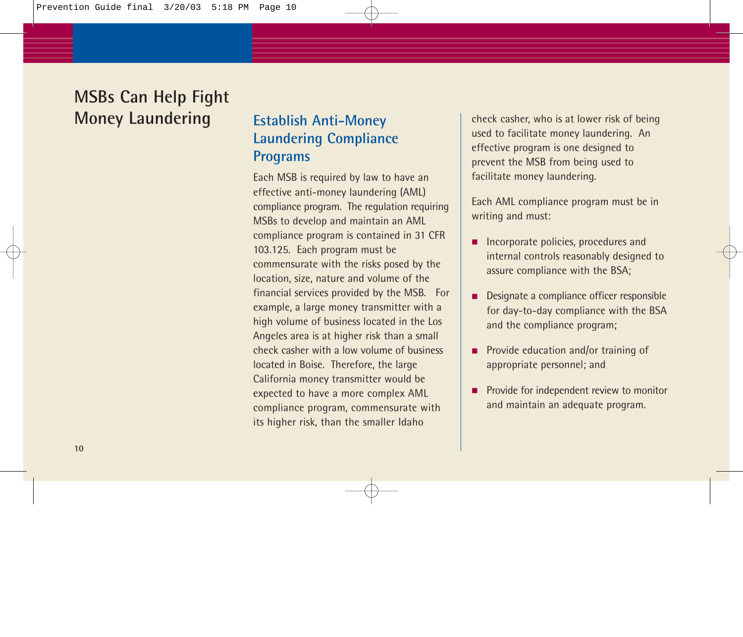### **Establish Anti-Money Laundering Compliance Programs**

Each MSB is required by law to have an effective anti-money laundering (AML) compliance program. The regulation requiring MSBs to develop and maintain an AML compliance program is contained in 31 CFR 103.125. Each program must be commensurate with the risks posed by the location, size, nature and volume of the financial services provided by the MSB. For example, a large money transmitter with a high volume of business located in the Los Angeles area is at higher risk than a small check casher with a low volume of business located in Boise. Therefore, the large California money transmitter would be expected to have a more complex AML compliance program, commensurate with its higher risk, than the smaller Idaho

check casher, who is at lower risk of being used to facilitate money laundering. An effective program is one designed to prevent the MSB from being used to facilitate money laundering.

Each AML compliance program must be in writing and must:

- Incorporate policies, procedures and internal controls reasonably designed to assure compliance with the BSA;
- Designate a compliance officer responsible for day-to-day compliance with the BSA and the compliance program;
- Provide education and/or training of appropriate personnel; and
- Provide for independent review to monitor and maintain an adequate program.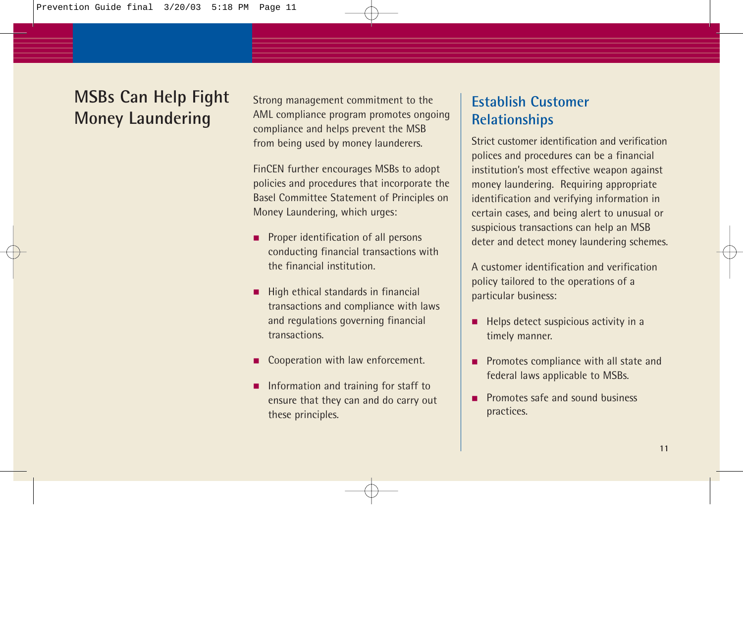Strong management commitment to the AML compliance program promotes ongoing compliance and helps prevent the MSB from being used by money launderers.

FinCEN further encourages MSBs to adopt policies and procedures that incorporate the Basel Committee Statement of Principles on Money Laundering, which urges:

- Proper identification of all persons conducting financial transactions with the financial institution.
- High ethical standards in financial transactions and compliance with laws and regulations governing financial transactions.
- Cooperation with law enforcement.
- Information and training for staff to ensure that they can and do carry out these principles.

### **Establish Customer Relationships**

Strict customer identification and verification polices and procedures can be a financial institution's most effective weapon against money laundering. Requiring appropriate identification and verifying information in certain cases, and being alert to unusual or suspicious transactions can help an MSB deter and detect money laundering schemes.

A customer identification and verification policy tailored to the operations of a particular business:

- Helps detect suspicious activity in a timely manner.
- Promotes compliance with all state and federal laws applicable to MSBs.
- Promotes safe and sound business practices.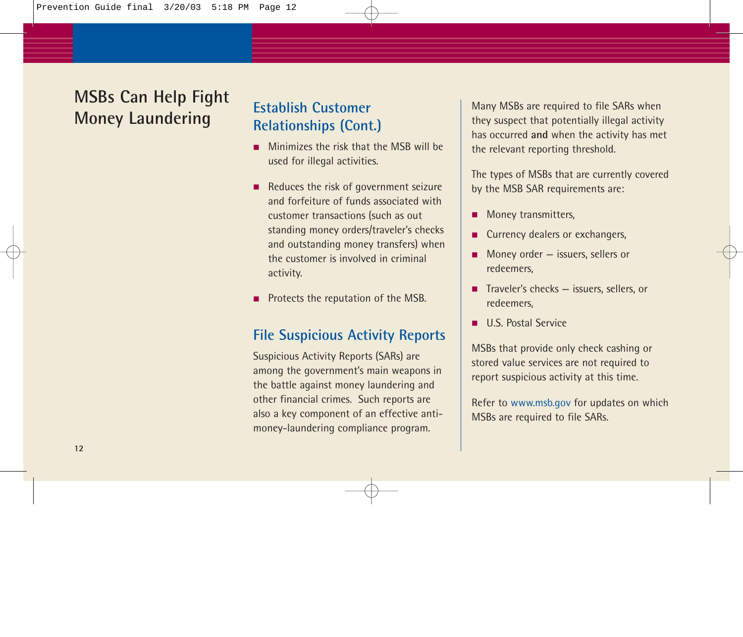## **Establish Customer Relationships (Cont.)**

- Minimizes the risk that the MSB will be used for illegal activities.
- Reduces the risk of government seizure and forfeiture of funds associated with customer transactions (such as out standing money orders/traveler's checks and outstanding money transfers) when the customer is involved in criminal activity.
- Protects the reputation of the MSB.

### **File Suspicious Activity Reports**

Suspicious Activity Reports (SARs) are among the government's main weapons in the battle against money laundering and other financial crimes. Such reports are also a key component of an effective antimoney-laundering compliance program.

Many MSBs are required to file SARs when they suspect that potentially illegal activity has occurred **and** when the activity has met the relevant reporting threshold.

The types of MSBs that are currently covered by the MSB SAR requirements are:

- Money transmitters.
- Currency dealers or exchangers,
- Money order issuers, sellers or redeemers,
- Traveler's checks issuers, sellers, or redeemers,
- U.S. Postal Service

MSBs that provide only check cashing or stored value services are not required to report suspicious activity at this time.

Refer to www.msb.gov for updates on which MSBs are required to file SARs.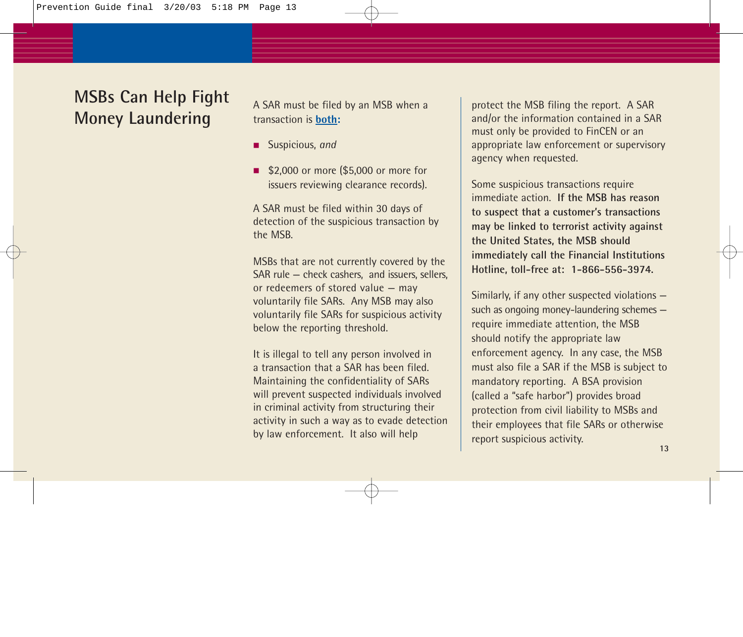A SAR must be filed by an MSB when a transaction is **both:** 

- Suspicious, *and*
- \$2,000 or more (\$5,000 or more for issuers reviewing clearance records).

A SAR must be filed within 30 days of detection of the suspicious transaction by the MSB.

MSBs that are not currently covered by the SAR rule — check cashers, and issuers, sellers, or redeemers of stored value — may voluntarily file SARs. Any MSB may also voluntarily file SARs for suspicious activity below the reporting threshold.

It is illegal to tell any person involved in a transaction that a SAR has been filed. Maintaining the confidentiality of SARs will prevent suspected individuals involved in criminal activity from structuring their activity in such a way as to evade detection by law enforcement. It also will help

protect the MSB filing the report. A SAR and/or the information contained in a SAR must only be provided to FinCEN or an appropriate law enforcement or supervisory agency when requested.

Some suspicious transactions require immediate action. **If the MSB has reason to suspect that a customer's transactions may be linked to terrorist activity against the United States, the MSB should immediately call the Financial Institutions Hotline, toll-free at: 1-866-556-3974.**

Similarly, if any other suspected violations such as ongoing money-laundering schemes require immediate attention, the MSB should notify the appropriate law enforcement agency. In any case, the MSB must also file a SAR if the MSB is subject to mandatory reporting. A BSA provision (called a "safe harbor") provides broad protection from civil liability to MSBs and their employees that file SARs or otherwise report suspicious activity.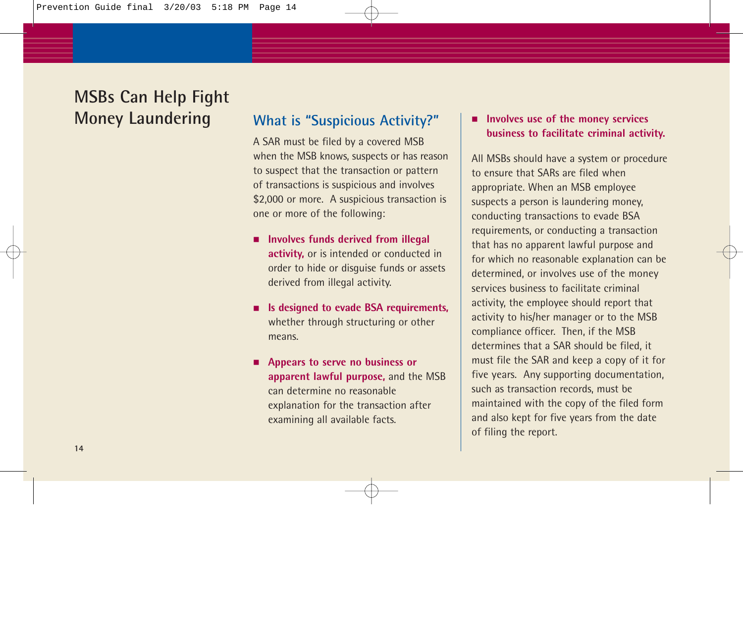### **What is "Suspicious Activity?"**

A SAR must be filed by a covered MSB when the MSB knows, suspects or has reason to suspect that the transaction or pattern of transactions is suspicious and involves \$2,000 or more. A suspicious transaction is one or more of the following:

- **Involves funds derived from illegal activity,** or is intended or conducted in order to hide or disguise funds or assets derived from illegal activity.
- **Is designed to evade BSA requirements,** whether through structuring or other means.
- **Appears to serve no business or apparent lawful purpose,** and the MSB can determine no reasonable explanation for the transaction after examining all available facts.

#### ■ **Involves use of the money services business to facilitate criminal activity.**

All MSBs should have a system or procedure to ensure that SARs are filed when appropriate. When an MSB employee suspects a person is laundering money, conducting transactions to evade BSA requirements, or conducting a transaction that has no apparent lawful purpose and for which no reasonable explanation can be determined, or involves use of the money services business to facilitate criminal activity, the employee should report that activity to his/her manager or to the MSB compliance officer. Then, if the MSB determines that a SAR should be filed, it must file the SAR and keep a copy of it for five years. Any supporting documentation, such as transaction records, must be maintained with the copy of the filed form and also kept for five years from the date of filing the report.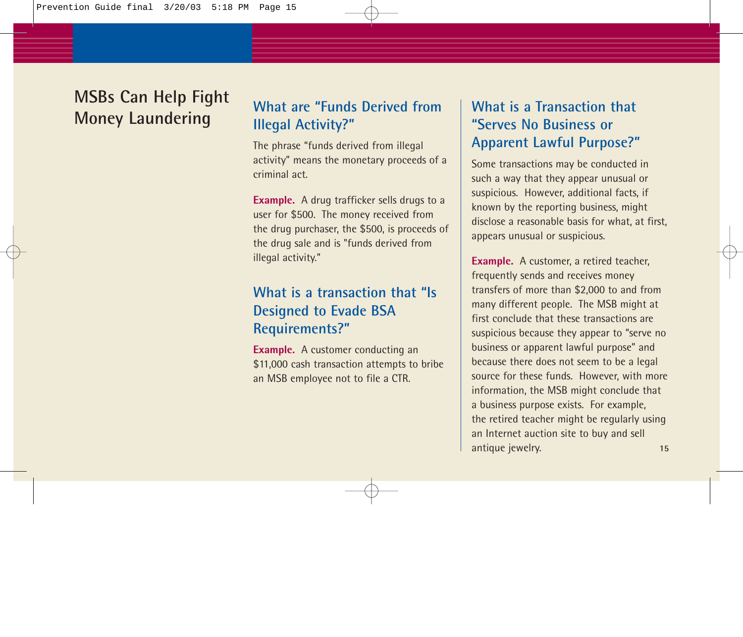## **What are "Funds Derived from Illegal Activity?"**

The phrase "funds derived from illegal activity" means the monetary proceeds of a criminal act.

**Example.** A drug trafficker sells drugs to a user for \$500. The money received from the drug purchaser, the \$500, is proceeds of the drug sale and is "funds derived from illegal activity."

### **What is a transaction that "Is Designed to Evade BSA Requirements?"**

**Example.** A customer conducting an \$11,000 cash transaction attempts to bribe an MSB employee not to file a CTR.

### **What is a Transaction that "Serves No Business or Apparent Lawful Purpose?"**

Some transactions may be conducted in such a way that they appear unusual or suspicious. However, additional facts, if known by the reporting business, might disclose a reasonable basis for what, at first, appears unusual or suspicious.

**Example.** A customer, a retired teacher, frequently sends and receives money transfers of more than \$2,000 to and from many different people. The MSB might at first conclude that these transactions are suspicious because they appear to "serve no business or apparent lawful purpose" and because there does not seem to be a legal source for these funds. However, with more information, the MSB might conclude that a business purpose exists. For example, the retired teacher might be regularly using an Internet auction site to buy and sell antique jewelry. **15**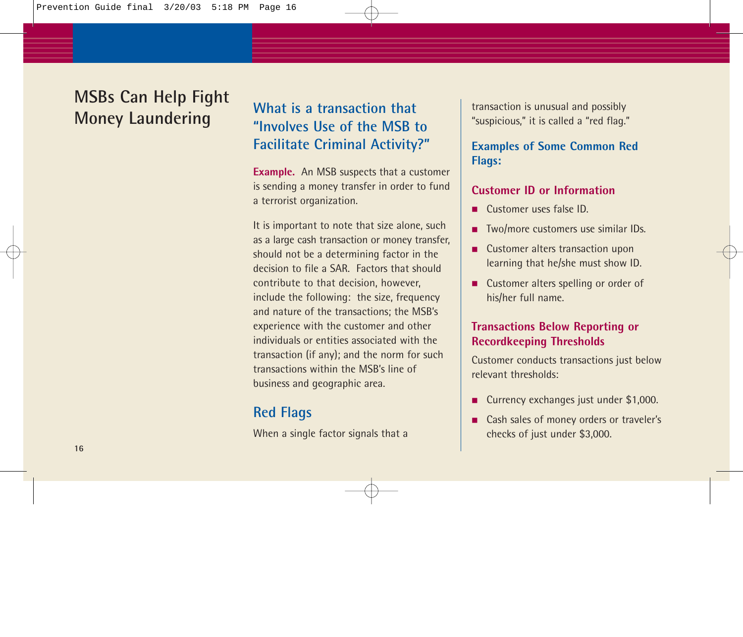## **What is a transaction that "Involves Use of the MSB to Facilitate Criminal Activity?"**

**Example.** An MSB suspects that a customer is sending a money transfer in order to fund a terrorist organization.

It is important to note that size alone, such as a large cash transaction or money transfer, should not be a determining factor in the decision to file a SAR. Factors that should contribute to that decision, however, include the following: the size, frequency and nature of the transactions; the MSB's experience with the customer and other individuals or entities associated with the transaction (if any); and the norm for such transactions within the MSB's line of business and geographic area.

### **Red Flags**

When a single factor signals that a

transaction is unusual and possibly "suspicious," it is called a "red flag."

#### **Examples of Some Common Red Flags:**

#### **Customer ID or Information**

- Customer uses false ID.
- Two/more customers use similar IDs.
- Customer alters transaction upon learning that he/she must show ID.
- Customer alters spelling or order of his/her full name.

#### **Transactions Below Reporting or Recordkeeping Thresholds**

Customer conducts transactions just below relevant thresholds:

- Currency exchanges just under \$1,000.
- Cash sales of money orders or traveler's checks of just under \$3,000.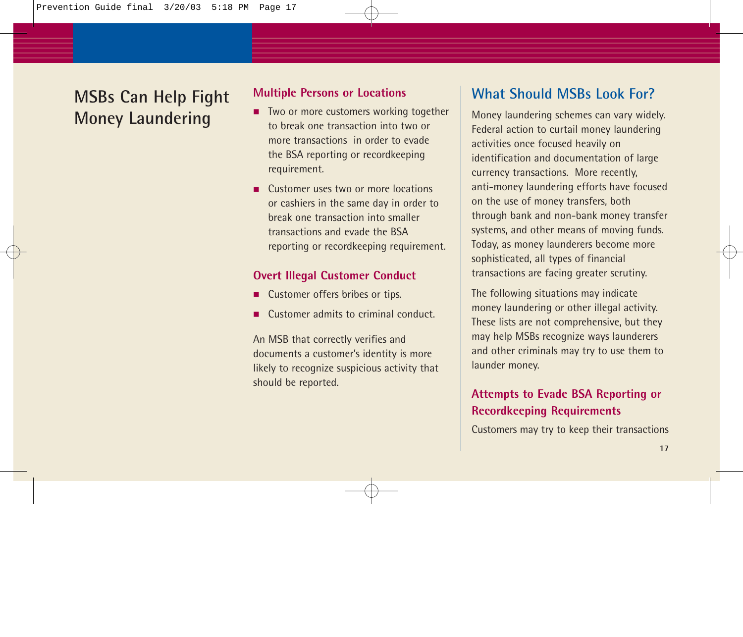#### **Multiple Persons or Locations**

- Two or more customers working together to break one transaction into two or more transactions in order to evade the BSA reporting or recordkeeping requirement.
- Customer uses two or more locations or cashiers in the same day in order to break one transaction into smaller transactions and evade the BSA reporting or recordkeeping requirement.

#### **Overt Illegal Customer Conduct**

- Customer offers bribes or tips.
- Customer admits to criminal conduct.

An MSB that correctly verifies and documents a customer's identity is more likely to recognize suspicious activity that should be reported.

## **What Should MSBs Look For?**

Money laundering schemes can vary widely. Federal action to curtail money laundering activities once focused heavily on identification and documentation of large currency transactions. More recently, anti-money laundering efforts have focused on the use of money transfers, both through bank and non-bank money transfer systems, and other means of moving funds. Today, as money launderers become more sophisticated, all types of financial transactions are facing greater scrutiny.

The following situations may indicate money laundering or other illegal activity. These lists are not comprehensive, but they may help MSBs recognize ways launderers and other criminals may try to use them to launder money.

### **Attempts to Evade BSA Reporting or Recordkeeping Requirements**

Customers may try to keep their transactions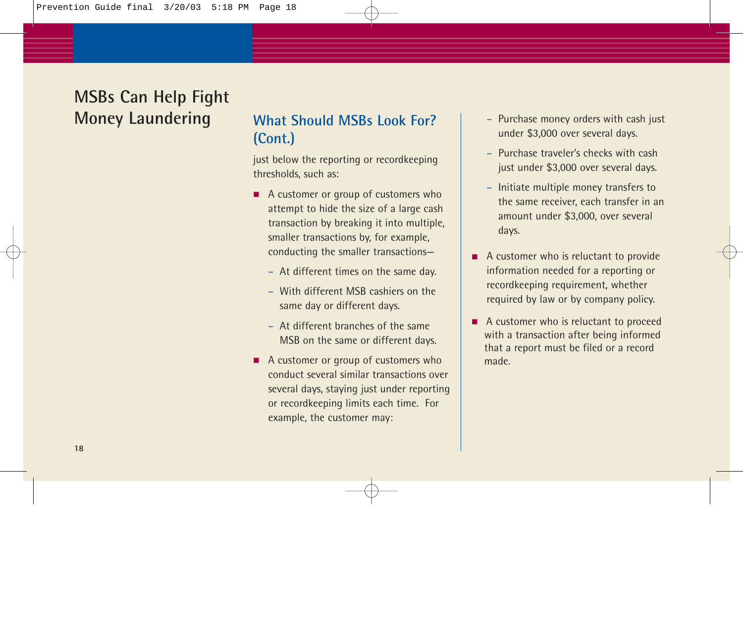## **What Should MSBs Look For? (Cont.)**

just below the reporting or recordkeeping thresholds, such as:

- A customer or group of customers who attempt to hide the size of a large cash transaction by breaking it into multiple, smaller transactions by, for example, conducting the smaller transactions—
	- At different times on the same day.
	- With different MSB cashiers on the same day or different days.
	- At different branches of the same MSB on the same or different days.
- A customer or group of customers who conduct several similar transactions over several days, staying just under reporting or recordkeeping limits each time. For example, the customer may:
- Purchase money orders with cash just under \$3,000 over several days.
- Purchase traveler's checks with cash just under \$3,000 over several days.
- Initiate multiple money transfers to the same receiver, each transfer in an amount under \$3,000, over several days.
- A customer who is reluctant to provide information needed for a reporting or recordkeeping requirement, whether required by law or by company policy.
- A customer who is reluctant to proceed with a transaction after being informed that a report must be filed or a record made.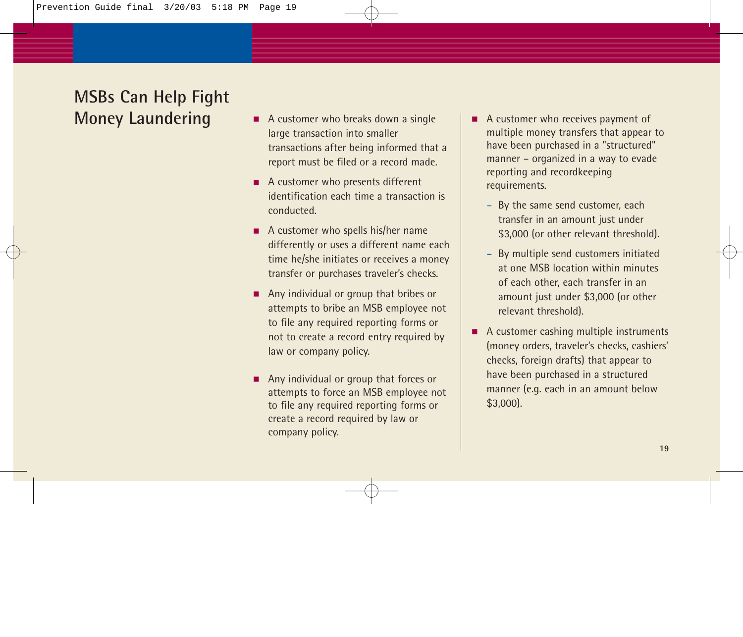- A customer who breaks down a single large transaction into smaller transactions after being informed that a report must be filed or a record made.
- A customer who presents different identification each time a transaction is conducted.
- A customer who spells his/her name differently or uses a different name each time he/she initiates or receives a money transfer or purchases traveler's checks.
- Any individual or group that bribes or attempts to bribe an MSB employee not to file any required reporting forms or not to create a record entry required by law or company policy.
- Any individual or group that forces or attempts to force an MSB employee not to file any required reporting forms or create a record required by law or company policy.
- A customer who receives payment of multiple money transfers that appear to have been purchased in a "structured" manner – organized in a way to evade reporting and recordkeeping requirements.
	- By the same send customer, each transfer in an amount just under \$3,000 (or other relevant threshold).
	- By multiple send customers initiated at one MSB location within minutes of each other, each transfer in an amount just under \$3,000 (or other relevant threshold).
- A customer cashing multiple instruments (money orders, traveler's checks, cashiers' checks, foreign drafts) that appear to have been purchased in a structured manner (e.g. each in an amount below \$3,000).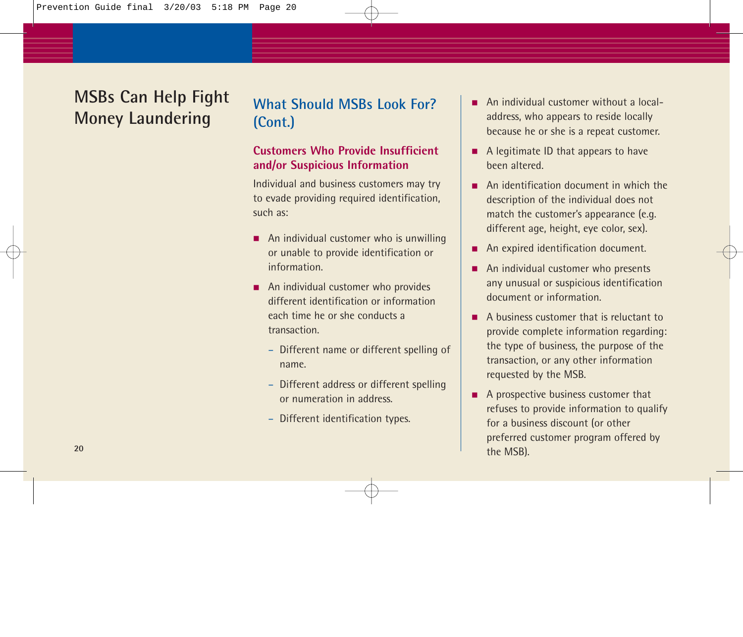## **What Should MSBs Look For? (Cont.)**

#### **Customers Who Provide Insufficient and/or Suspicious Information**

Individual and business customers may try to evade providing required identification, such as:

- An individual customer who is unwilling or unable to provide identification or information.
- An individual customer who provides different identification or information each time he or she conducts a transaction.
	- Different name or different spelling of name.
	- Different address or different spelling or numeration in address.
	- Different identification types.
- An individual customer without a localaddress, who appears to reside locally because he or she is a repeat customer.
- A legitimate ID that appears to have been altered.
- An identification document in which the description of the individual does not match the customer's appearance (e.g. different age, height, eye color, sex).
- An expired identification document.
- An individual customer who presents any unusual or suspicious identification document or information.
- A business customer that is reluctant to provide complete information regarding: the type of business, the purpose of the transaction, or any other information requested by the MSB.
- A prospective business customer that refuses to provide information to qualify for a business discount (or other preferred customer program offered by the MSB).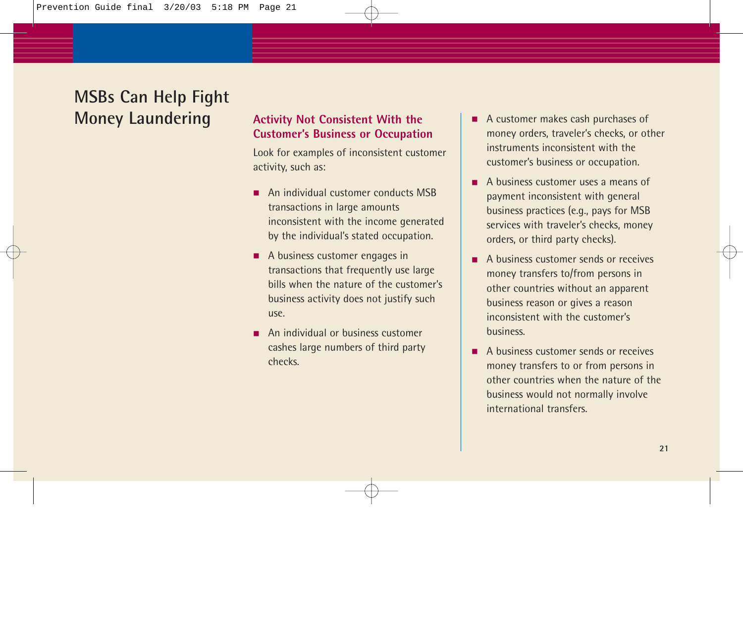#### **Activity Not Consistent With the Customer's Business or Occupation**

Look for examples of inconsistent customer activity, such as:

- An individual customer conducts MSB transactions in large amounts inconsistent with the income generated by the individual's stated occupation.
- A business customer engages in transactions that frequently use large bills when the nature of the customer's business activity does not justify such use.
- An individual or business customer cashes large numbers of third party checks.
- A customer makes cash purchases of money orders, traveler's checks, or other instruments inconsistent with the customer's business or occupation.
- A business customer uses a means of payment inconsistent with general business practices (e.g., pays for MSB services with traveler's checks, money orders, or third party checks).
- A business customer sends or receives money transfers to/from persons in other countries without an apparent business reason or gives a reason inconsistent with the customer's business.
- A business customer sends or receives money transfers to or from persons in other countries when the nature of the business would not normally involve international transfers.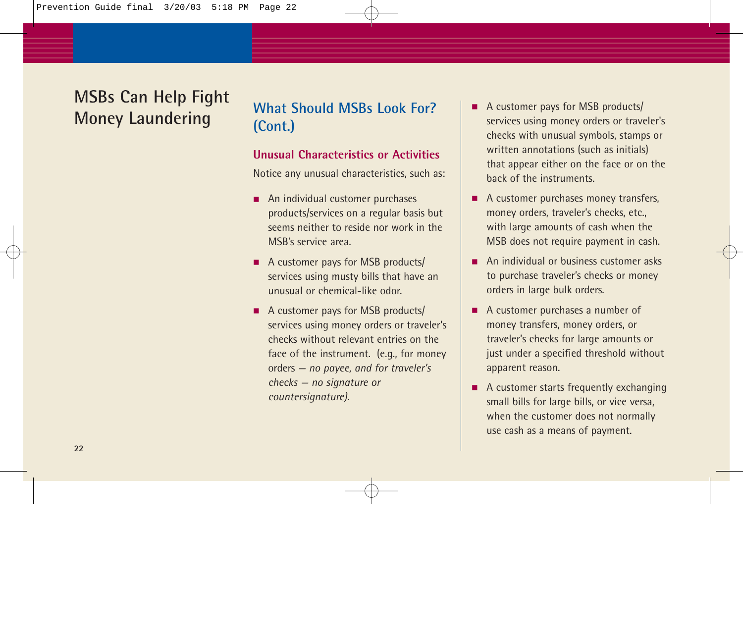## **What Should MSBs Look For? (Cont.)**

#### **Unusual Characteristics or Activities**

Notice any unusual characteristics, such as:

- An individual customer purchases products/services on a regular basis but seems neither to reside nor work in the MSB's service area.
- A customer pays for MSB products/ services using musty bills that have an unusual or chemical-like odor.
- A customer pays for MSB products/ services using money orders or traveler's checks without relevant entries on the face of the instrument. (e.g., for money orders *— no payee, and for traveler's checks — no signature or countersignature).*
- A customer pays for MSB products/ services using money orders or traveler's checks with unusual symbols, stamps or written annotations (such as initials) that appear either on the face or on the back of the instruments.
- A customer purchases money transfers, money orders, traveler's checks, etc., with large amounts of cash when the MSB does not require payment in cash.
- An individual or business customer asks to purchase traveler's checks or money orders in large bulk orders.
- A customer purchases a number of money transfers, money orders, or traveler's checks for large amounts or just under a specified threshold without apparent reason.
- A customer starts frequently exchanging small bills for large bills, or vice versa, when the customer does not normally use cash as a means of payment.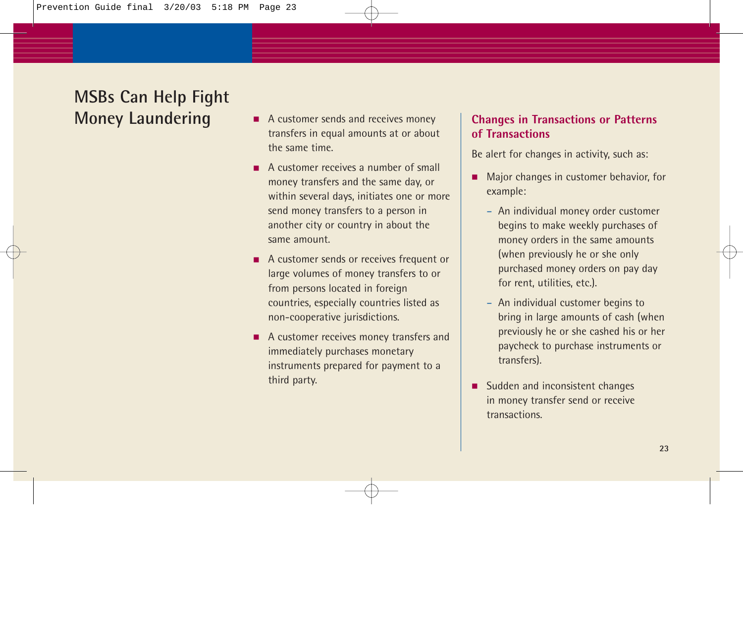- A customer sends and receives money transfers in equal amounts at or about the same time.
- A customer receives a number of small money transfers and the same day, or within several days, initiates one or more send money transfers to a person in another city or country in about the same amount.
- A customer sends or receives frequent or large volumes of money transfers to or from persons located in foreign countries, especially countries listed as non-cooperative jurisdictions.
- A customer receives money transfers and immediately purchases monetary instruments prepared for payment to a third party.

#### **Changes in Transactions or Patterns of Transactions**

Be alert for changes in activity, such as:

- Major changes in customer behavior, for example:
	- An individual money order customer begins to make weekly purchases of money orders in the same amounts (when previously he or she only purchased money orders on pay day for rent, utilities, etc.).
	- An individual customer begins to bring in large amounts of cash (when previously he or she cashed his or her paycheck to purchase instruments or transfers).
- Sudden and inconsistent changes in money transfer send or receive transactions.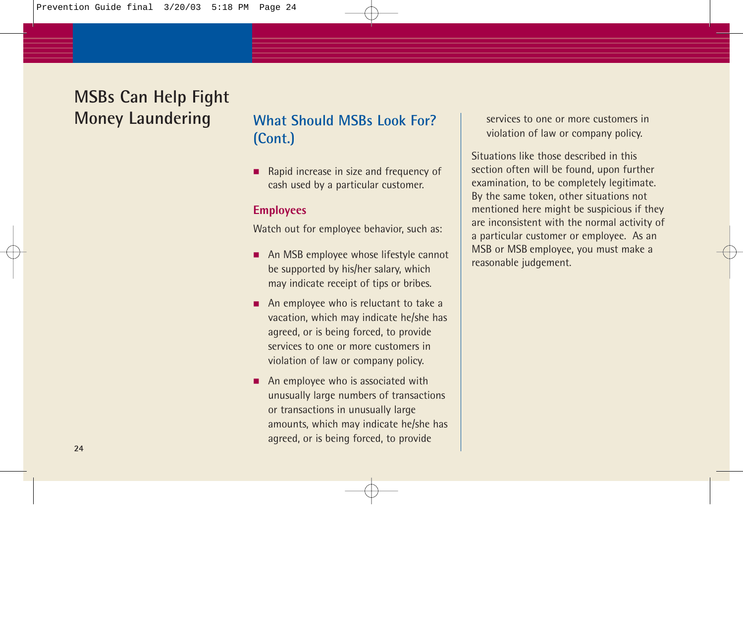## **What Should MSBs Look For? (Cont.)**

■ Rapid increase in size and frequency of cash used by a particular customer.

#### **Employees**

Watch out for employee behavior, such as:

- An MSB employee whose lifestyle cannot be supported by his/her salary, which may indicate receipt of tips or bribes.
- An employee who is reluctant to take a vacation, which may indicate he/she has agreed, or is being forced, to provide services to one or more customers in violation of law or company policy.
- An employee who is associated with unusually large numbers of transactions or transactions in unusually large amounts, which may indicate he/she has agreed, or is being forced, to provide

services to one or more customers in violation of law or company policy.

Situations like those described in this section often will be found, upon further examination, to be completely legitimate. By the same token, other situations not mentioned here might be suspicious if they are inconsistent with the normal activity of a particular customer or employee. As an MSB or MSB employee, you must make a reasonable judgement.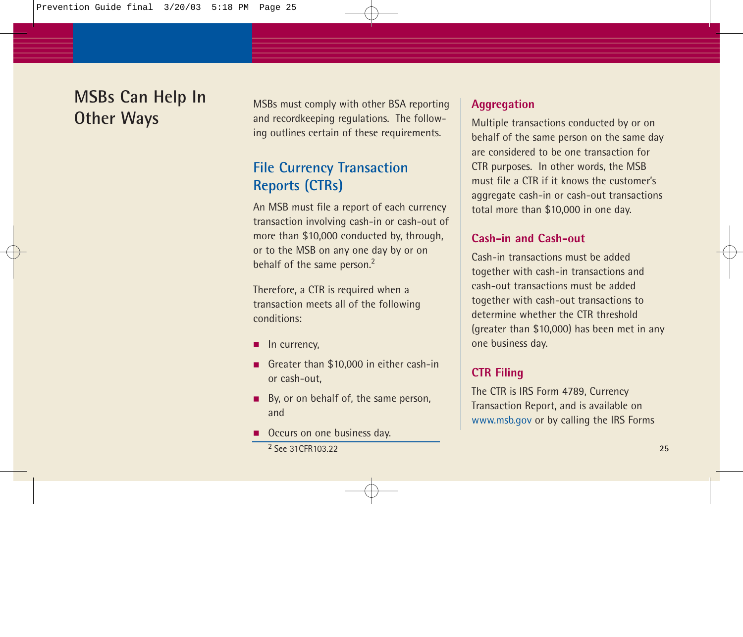## **MSBs Can Help In Other Ways**

MSBs must comply with other BSA reporting and recordkeeping regulations. The following outlines certain of these requirements.

## **File Currency Transaction Reports (CTRs)**

An MSB must file a report of each currency transaction involving cash-in or cash-out of more than \$10,000 conducted by, through, or to the MSB on any one day by or on behalf of the same person.<sup>2</sup>

Therefore, a CTR is required when a transaction meets all of the following conditions:

- In currency,
- Greater than \$10,000 in either cash-in or cash-out,
- By, or on behalf of, the same person, and
- Occurs on one business day. 2 See 31CFR103.22 **25**

#### **Aggregation**

Multiple transactions conducted by or on behalf of the same person on the same day are considered to be one transaction for CTR purposes. In other words, the MSB must file a CTR if it knows the customer's aggregate cash-in or cash-out transactions total more than \$10,000 in one day.

#### **Cash-in and Cash-out**

Cash-in transactions must be added together with cash-in transactions and cash-out transactions must be added together with cash-out transactions to determine whether the CTR threshold (greater than \$10,000) has been met in any one business day.

#### **CTR Filing**

The CTR is IRS Form 4789, Currency Transaction Report, and is available on www.msb.gov or by calling the IRS Forms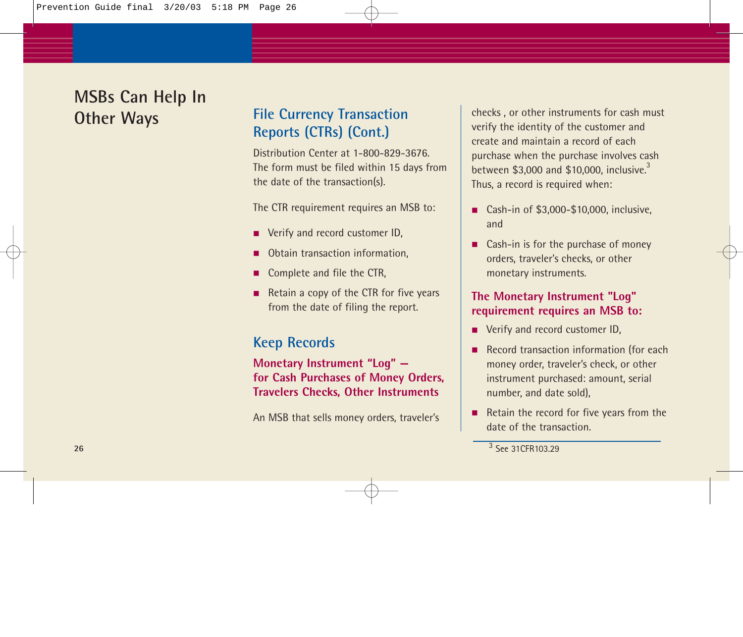## **MSBs Can Help In Other Ways**

## **File Currency Transaction Reports (CTRs) (Cont.)**

Distribution Center at 1-800-829-3676. The form must be filed within 15 days from the date of the transaction(s).

The CTR requirement requires an MSB to:

- Verify and record customer ID,
- Obtain transaction information,
- Complete and file the CTR,
- Retain a copy of the CTR for five years from the date of filing the report.

### **Keep Records**

**Monetary Instrument "Log" for Cash Purchases of Money Orders, Travelers Checks, Other Instruments**

An MSB that sells money orders, traveler's

checks , or other instruments for cash must verify the identity of the customer and create and maintain a record of each purchase when the purchase involves cash between  $$3.000$  and  $$10.000$ , inclusive.<sup>3</sup> Thus, a record is required when:

- Cash-in of \$3,000-\$10,000, inclusive, and
- Cash-in is for the purchase of money orders, traveler's checks, or other monetary instruments.

#### **The Monetary Instrument "Log" requirement requires an MSB to:**

- Verify and record customer ID,
- Record transaction information (for each money order, traveler's check, or other instrument purchased: amount, serial number, and date sold),
- Retain the record for five years from the date of the transaction.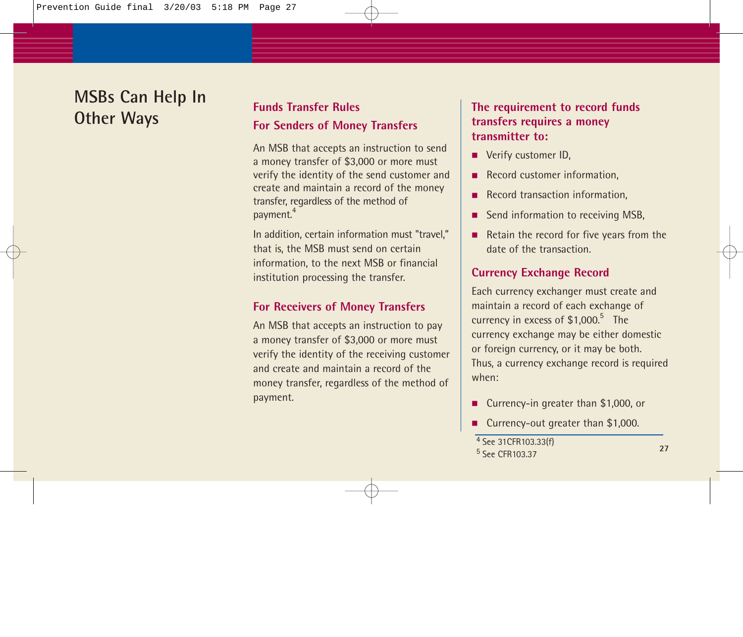## **MSBs Can Help In Other Ways**

### **Funds Transfer Rules For Senders of Money Transfers**

An MSB that accepts an instruction to send a money transfer of \$3,000 or more must verify the identity of the send customer and create and maintain a record of the money transfer, regardless of the method of payment.<sup>4</sup>

In addition, certain information must "travel," that is, the MSB must send on certain information, to the next MSB or financial institution processing the transfer.

#### **For Receivers of Money Transfers**

An MSB that accepts an instruction to pay a money transfer of \$3,000 or more must verify the identity of the receiving customer and create and maintain a record of the money transfer, regardless of the method of payment.

#### **The requirement to record funds transfers requires a money transmitter to:**

- Verify customer ID,
- Record customer information.
- Record transaction information.
- Send information to receiving MSB.
- Retain the record for five years from the date of the transaction.

#### **Currency Exchange Record**

Each currency exchanger must create and maintain a record of each exchange of currency in excess of  $$1,000.<sup>5</sup>$  The currency exchange may be either domestic or foreign currency, or it may be both. Thus, a currency exchange record is required when:

- Currency-in greater than \$1,000, or
- Currency-out greater than \$1,000.

<sup>5</sup> See CFR103.37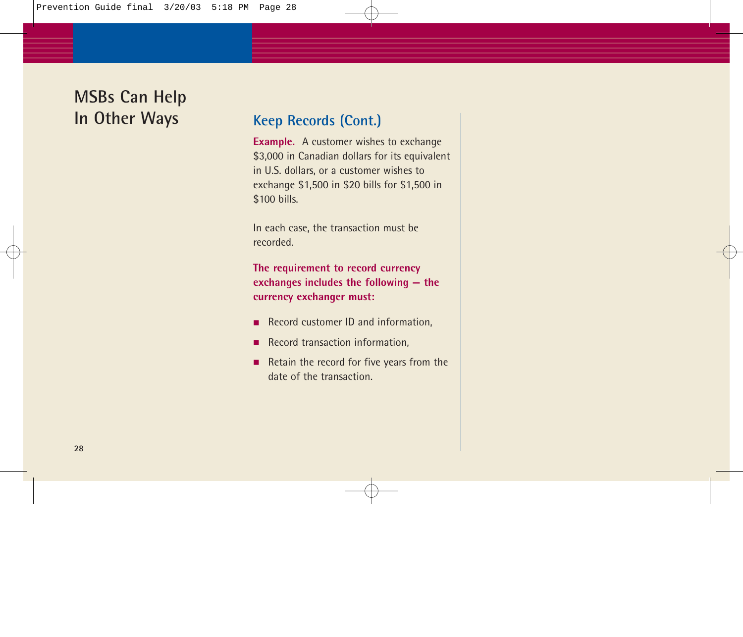## **MSBs Can Help In Other Ways**

### **Keep Records (Cont.)**

**Example.** A customer wishes to exchange \$3,000 in Canadian dollars for its equivalent in U.S. dollars, or a customer wishes to exchange \$1,500 in \$20 bills for \$1,500 in \$100 bills.

In each case, the transaction must be recorded.

**The requirement to record currency exchanges includes the following — the currency exchanger must:**

- Record customer ID and information,
- Record transaction information,
- Retain the record for five years from the date of the transaction.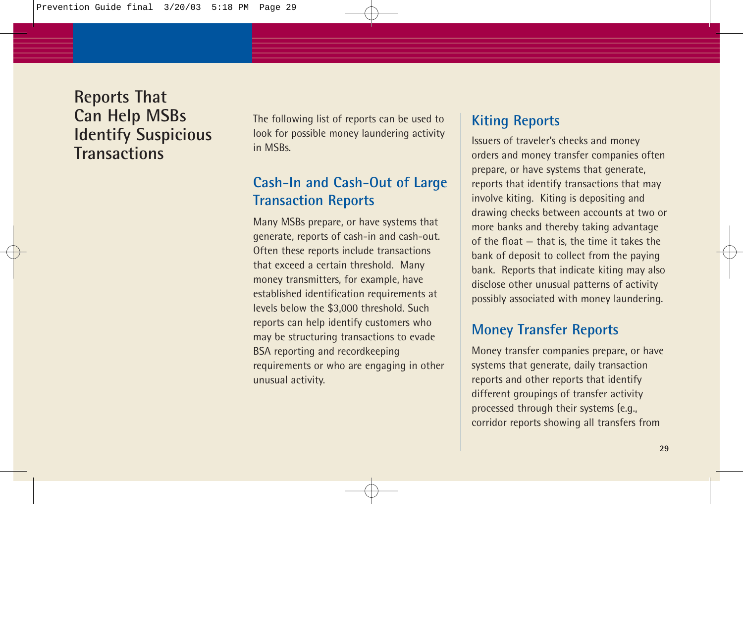## **Reports That Can Help MSBs Identify Suspicious Transactions**

The following list of reports can be used to look for possible money laundering activity in MSBs.

### **Cash-In and Cash-Out of Large Transaction Reports**

Many MSBs prepare, or have systems that generate, reports of cash-in and cash-out. Often these reports include transactions that exceed a certain threshold. Many money transmitters, for example, have established identification requirements at levels below the \$3,000 threshold. Such reports can help identify customers who may be structuring transactions to evade BSA reporting and recordkeeping requirements or who are engaging in other unusual activity.

### **Kiting Reports**

Issuers of traveler's checks and money orders and money transfer companies often prepare, or have systems that generate, reports that identify transactions that may involve kiting. Kiting is depositing and drawing checks between accounts at two or more banks and thereby taking advantage of the float — that is, the time it takes the bank of deposit to collect from the paying bank. Reports that indicate kiting may also disclose other unusual patterns of activity possibly associated with money laundering.

### **Money Transfer Reports**

Money transfer companies prepare, or have systems that generate, daily transaction reports and other reports that identify different groupings of transfer activity processed through their systems (e.g., corridor reports showing all transfers from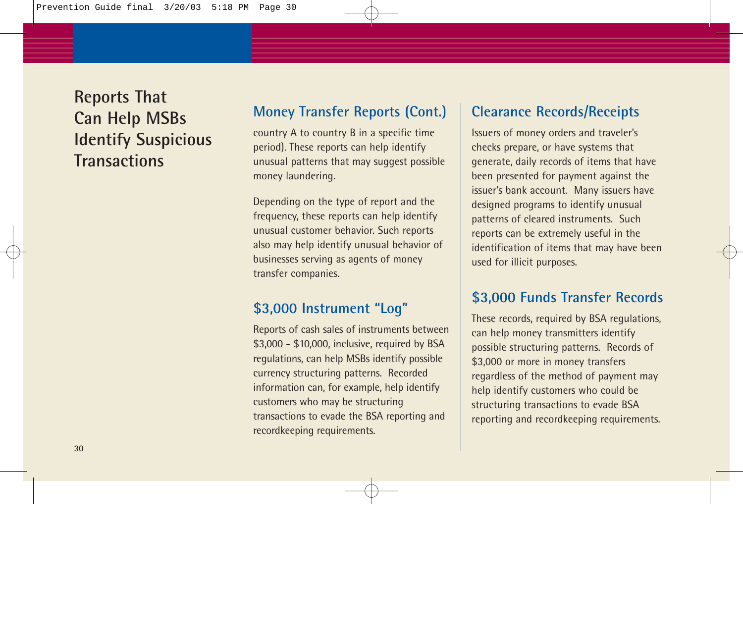**Reports That Can Help MSBs Identify Suspicious Transactions**

### **Money Transfer Reports (Cont.)**

country A to country B in a specific time period). These reports can help identify unusual patterns that may suggest possible money laundering.

Depending on the type of report and the frequency, these reports can help identify unusual customer behavior. Such reports also may help identify unusual behavior of businesses serving as agents of money transfer companies.

### **\$3,000 Instrument "Log"**

Reports of cash sales of instruments between \$3,000 - \$10,000, inclusive, required by BSA regulations, can help MSBs identify possible currency structuring patterns. Recorded information can, for example, help identify customers who may be structuring transactions to evade the BSA reporting and recordkeeping requirements.

### **Clearance Records/Receipts**

Issuers of money orders and traveler's checks prepare, or have systems that generate, daily records of items that have been presented for payment against the issuer's bank account. Many issuers have designed programs to identify unusual patterns of cleared instruments. Such reports can be extremely useful in the identification of items that may have been used for illicit purposes.

### **\$3,000 Funds Transfer Records**

These records, required by BSA regulations, can help money transmitters identify possible structuring patterns. Records of \$3,000 or more in money transfers regardless of the method of payment may help identify customers who could be structuring transactions to evade BSA reporting and recordkeeping requirements.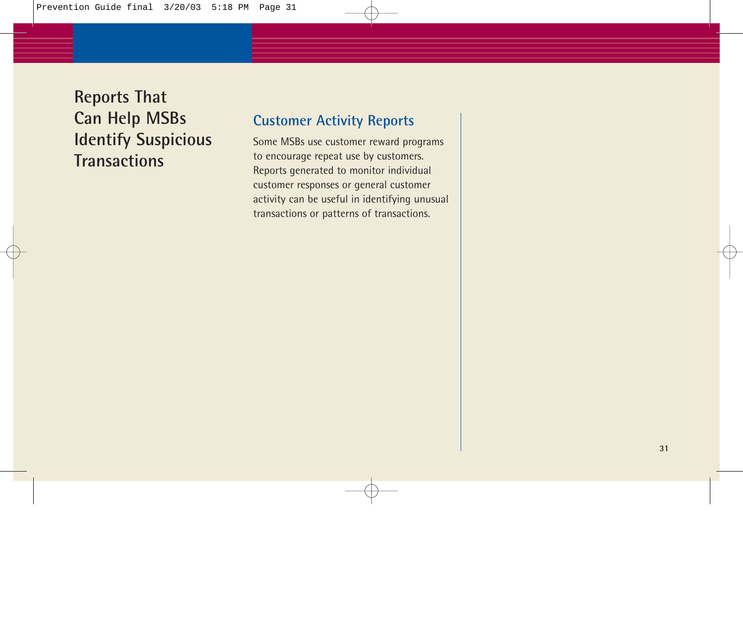**Reports That Can Help MSBs Identify Suspicious Transactions**

#### **Customer Activity Reports**

Some MSBs use customer reward programs to encourage repeat use by customers. Reports generated to monitor individual customer responses or general customer activity can be useful in identifying unusual transactions or patterns of transactions.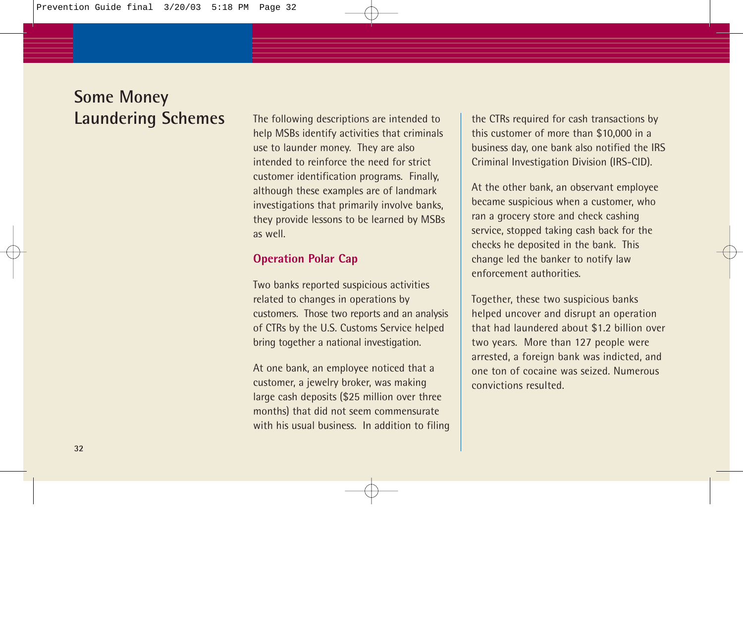The following descriptions are intended to help MSBs identify activities that criminals use to launder money. They are also intended to reinforce the need for strict customer identification programs. Finally, although these examples are of landmark investigations that primarily involve banks, they provide lessons to be learned by MSBs as well.

#### **Operation Polar Cap**

Two banks reported suspicious activities related to changes in operations by customers. Those two reports and an analysis of CTRs by the U.S. Customs Service helped bring together a national investigation.

At one bank, an employee noticed that a customer, a jewelry broker, was making large cash deposits (\$25 million over three months) that did not seem commensurate with his usual business. In addition to filing the CTRs required for cash transactions by this customer of more than \$10,000 in a business day, one bank also notified the IRS Criminal Investigation Division (IRS-CID).

At the other bank, an observant employee became suspicious when a customer, who ran a grocery store and check cashing service, stopped taking cash back for the checks he deposited in the bank. This change led the banker to notify law enforcement authorities.

Together, these two suspicious banks helped uncover and disrupt an operation that had laundered about \$1.2 billion over two years. More than 127 people were arrested, a foreign bank was indicted, and one ton of cocaine was seized. Numerous convictions resulted.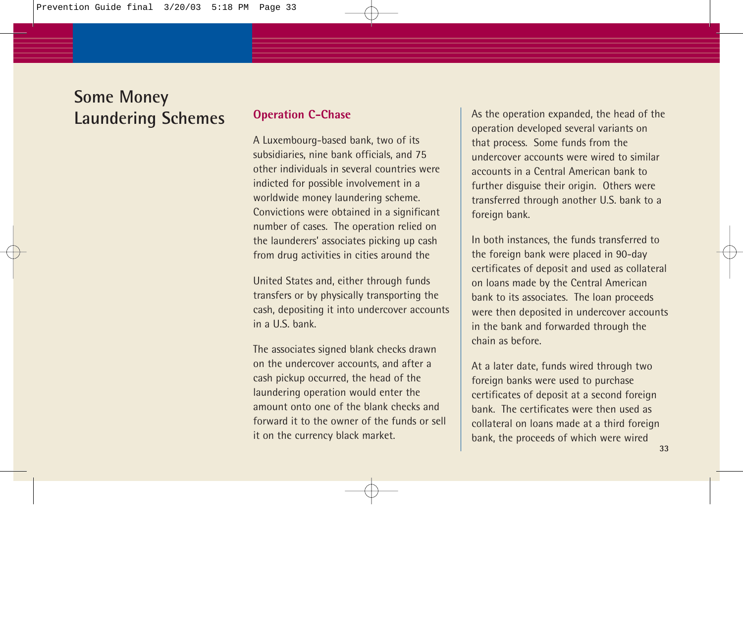#### **Operation C-Chase**

A Luxembourg-based bank, two of its subsidiaries, nine bank officials, and 75 other individuals in several countries were indicted for possible involvement in a worldwide money laundering scheme. Convictions were obtained in a significant number of cases. The operation relied on the launderers' associates picking up cash from drug activities in cities around the

United States and, either through funds transfers or by physically transporting the cash, depositing it into undercover accounts  $in a **U**$  s  $hank$ .

The associates signed blank checks drawn on the undercover accounts, and after a cash pickup occurred, the head of the laundering operation would enter the amount onto one of the blank checks and forward it to the owner of the funds or sell it on the currency black market.

As the operation expanded, the head of the operation developed several variants on that process. Some funds from the undercover accounts were wired to similar accounts in a Central American bank to further disguise their origin. Others were transferred through another U.S. bank to a foreign bank.

In both instances, the funds transferred to the foreign bank were placed in 90-day certificates of deposit and used as collateral on loans made by the Central American bank to its associates. The loan proceeds were then deposited in undercover accounts in the bank and forwarded through the chain as before.

At a later date, funds wired through two foreign banks were used to purchase certificates of deposit at a second foreign bank. The certificates were then used as collateral on loans made at a third foreign bank, the proceeds of which were wired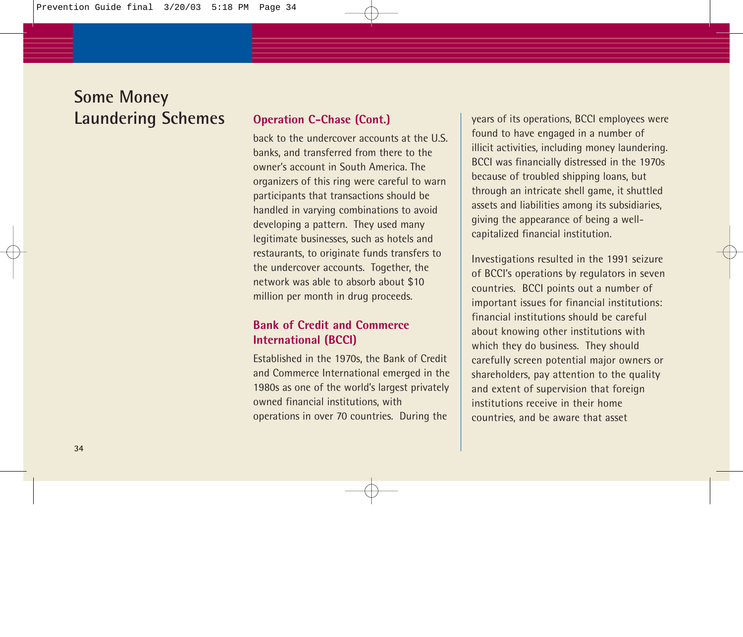#### **Operation C-Chase (Cont.)**

back to the undercover accounts at the U.S. banks, and transferred from there to the owner's account in South America. The organizers of this ring were careful to warn participants that transactions should be handled in varying combinations to avoid developing a pattern. They used many legitimate businesses, such as hotels and restaurants, to originate funds transfers to the undercover accounts. Together, the network was able to absorb about \$10 million per month in drug proceeds.

#### **Bank of Credit and Commerce International (BCCI)**

Established in the 1970s, the Bank of Credit and Commerce International emerged in the 1980s as one of the world's largest privately owned financial institutions, with operations in over 70 countries. During the

years of its operations, BCCI employees were found to have engaged in a number of illicit activities, including money laundering. BCCI was financially distressed in the 1970s because of troubled shipping loans, but through an intricate shell game, it shuttled assets and liabilities among its subsidiaries, giving the appearance of being a wellcapitalized financial institution.

Investigations resulted in the 1991 seizure of BCCI's operations by regulators in seven countries. BCCI points out a number of important issues for financial institutions: financial institutions should be careful about knowing other institutions with which they do business. They should carefully screen potential major owners or shareholders, pay attention to the quality and extent of supervision that foreign institutions receive in their home countries, and be aware that asset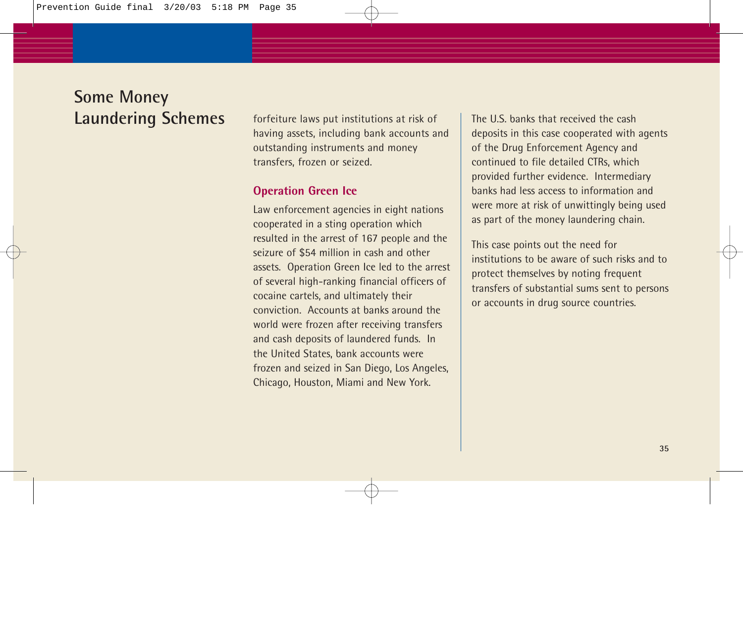forfeiture laws put institutions at risk of having assets, including bank accounts and outstanding instruments and money transfers, frozen or seized.

#### **Operation Green Ice**

Law enforcement agencies in eight nations cooperated in a sting operation which resulted in the arrest of 167 people and the seizure of \$54 million in cash and other assets. Operation Green Ice led to the arrest of several high-ranking financial officers of cocaine cartels, and ultimately their conviction. Accounts at banks around the world were frozen after receiving transfers and cash deposits of laundered funds. In the United States, bank accounts were frozen and seized in San Diego, Los Angeles, Chicago, Houston, Miami and New York.

The U.S. banks that received the cash deposits in this case cooperated with agents of the Drug Enforcement Agency and continued to file detailed CTRs, which provided further evidence. Intermediary banks had less access to information and were more at risk of unwittingly being used as part of the money laundering chain.

This case points out the need for institutions to be aware of such risks and to protect themselves by noting frequent transfers of substantial sums sent to persons or accounts in drug source countries.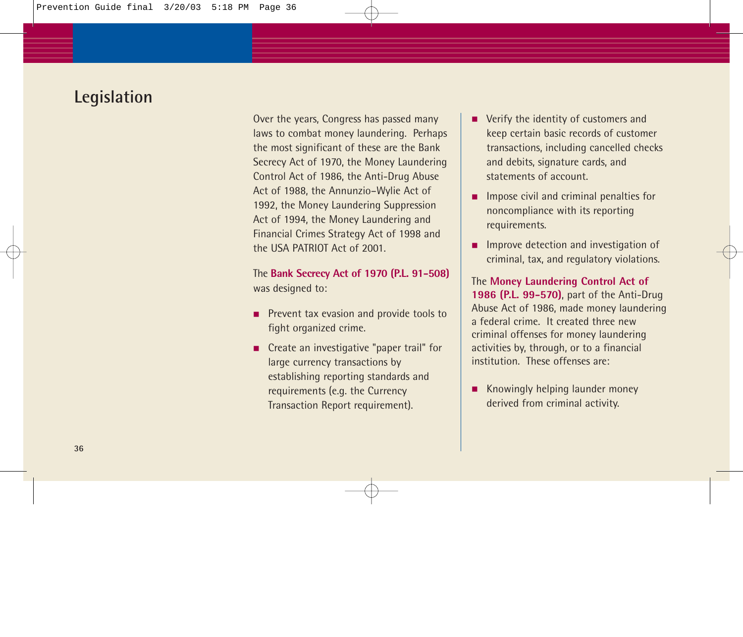Over the years, Congress has passed many laws to combat money laundering. Perhaps the most significant of these are the Bank Secrecy Act of 1970, the Money Laundering Control Act of 1986, the Anti-Drug Abuse Act of 1988, the Annunzio–Wylie Act of 1992, the Money Laundering Suppression Act of 1994, the Money Laundering and Financial Crimes Strategy Act of 1998 and the USA PATRIOT Act of 2001.

The **Bank Secrecy Act of 1970 (P.L. 91-508)** was designed to:

- Prevent tax evasion and provide tools to fight organized crime.
- Create an investigative "paper trail" for large currency transactions by establishing reporting standards and requirements (e.g. the Currency Transaction Report requirement).
- Verify the identity of customers and keep certain basic records of customer transactions, including cancelled checks and debits, signature cards, and statements of account.
- Impose civil and criminal penalties for noncompliance with its reporting requirements.
- Improve detection and investigation of criminal, tax, and regulatory violations.

The **Money Laundering Control Act of 1986 (P.L. 99-570)**, part of the Anti-Drug Abuse Act of 1986, made money laundering a federal crime. It created three new criminal offenses for money laundering activities by, through, or to a financial institution. These offenses are:

Knowingly helping launder money derived from criminal activity.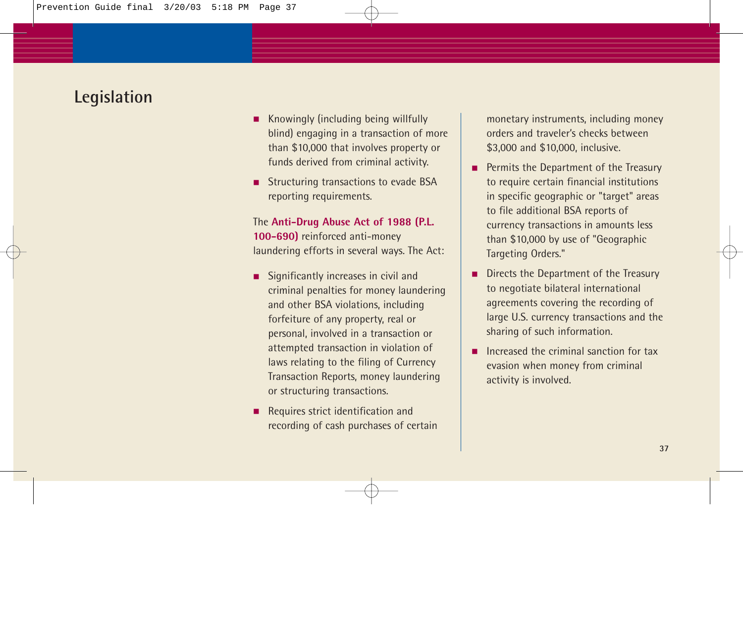- Knowingly (including being willfully blind) engaging in a transaction of more than \$10,000 that involves property or funds derived from criminal activity.
- Structuring transactions to evade BSA reporting requirements.

The **Anti-Drug Abuse Act of 1988 (P.L. 100-690)** reinforced anti-money laundering efforts in several ways. The Act:

- Significantly increases in civil and criminal penalties for money laundering and other BSA violations, including forfeiture of any property, real or personal, involved in a transaction or attempted transaction in violation of laws relating to the filing of Currency Transaction Reports, money laundering or structuring transactions.
- Requires strict identification and recording of cash purchases of certain

monetary instruments, including money orders and traveler's checks between \$3,000 and \$10,000, inclusive.

- Permits the Department of the Treasury to require certain financial institutions in specific geographic or "target" areas to file additional BSA reports of currency transactions in amounts less than \$10,000 by use of "Geographic Targeting Orders."
- Directs the Department of the Treasury to negotiate bilateral international agreements covering the recording of large U.S. currency transactions and the sharing of such information.
- Increased the criminal sanction for tax evasion when money from criminal activity is involved.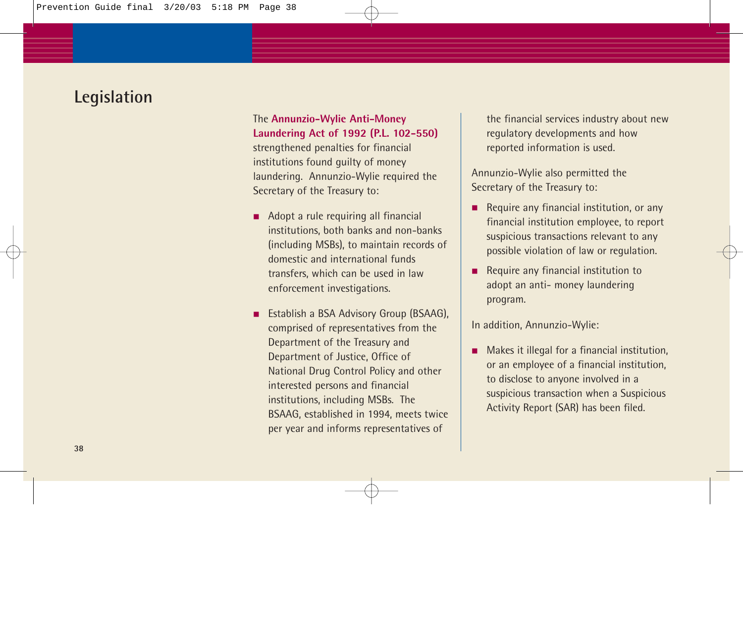The **Annunzio-Wylie Anti-Money Laundering Act of 1992 (P.L. 102-550)** strengthened penalties for financial institutions found guilty of money laundering. Annunzio-Wylie required the Secretary of the Treasury to:

- Adopt a rule requiring all financial institutions, both banks and non-banks (including MSBs), to maintain records of domestic and international funds transfers, which can be used in law enforcement investigations.
- Establish a BSA Advisory Group (BSAAG), comprised of representatives from the Department of the Treasury and Department of Justice, Office of National Drug Control Policy and other interested persons and financial institutions, including MSBs. The BSAAG, established in 1994, meets twice per year and informs representatives of

the financial services industry about new regulatory developments and how reported information is used.

Annunzio-Wylie also permitted the Secretary of the Treasury to:

- Require any financial institution, or any financial institution employee, to report suspicious transactions relevant to any possible violation of law or regulation.
- Require any financial institution to adopt an anti- money laundering program.

In addition, Annunzio-Wylie:

■ Makes it illegal for a financial institution, or an employee of a financial institution, to disclose to anyone involved in a suspicious transaction when a Suspicious Activity Report (SAR) has been filed.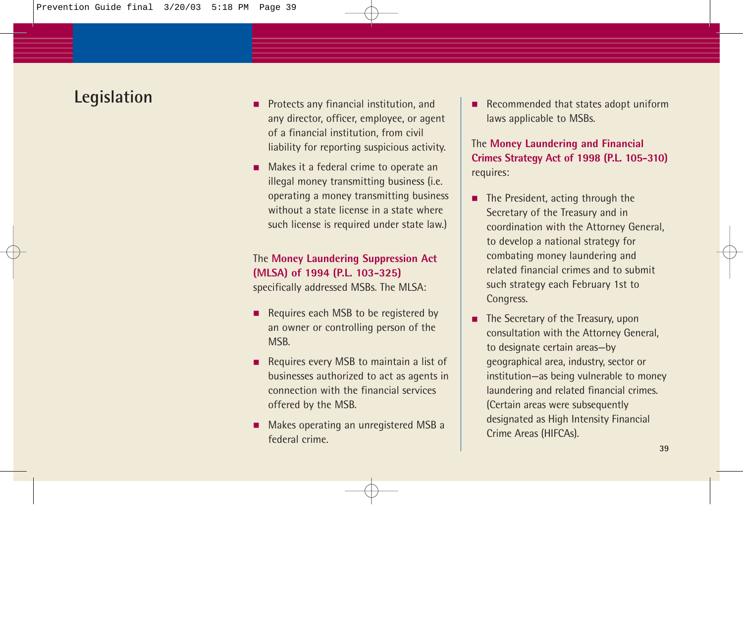- Protects any financial institution, and any director, officer, employee, or agent of a financial institution, from civil liability for reporting suspicious activity.
- Makes it a federal crime to operate an illegal money transmitting business (i.e. operating a money transmitting business without a state license in a state where such license is required under state law.)

#### The **Money Laundering Suppression Act (MLSA) of 1994 (P.L. 103-325)** specifically addressed MSBs. The MLSA:

- Requires each MSB to be registered by an owner or controlling person of the MSB.
- Requires every MSB to maintain a list of businesses authorized to act as agents in connection with the financial services offered by the MSB.
- Makes operating an unregistered MSB a federal crime.

■ Recommended that states adopt uniform laws applicable to MSBs.

#### The **Money Laundering and Financial Crimes Strategy Act of 1998 (P.L. 105-310)** requires:

- The President, acting through the Secretary of the Treasury and in coordination with the Attorney General, to develop a national strategy for combating money laundering and related financial crimes and to submit such strategy each February 1st to Congress.
- The Secretary of the Treasury, upon consultation with the Attorney General, to designate certain areas—by geographical area, industry, sector or institution—as being vulnerable to money laundering and related financial crimes. (Certain areas were subsequently designated as High Intensity Financial Crime Areas (HIFCAs).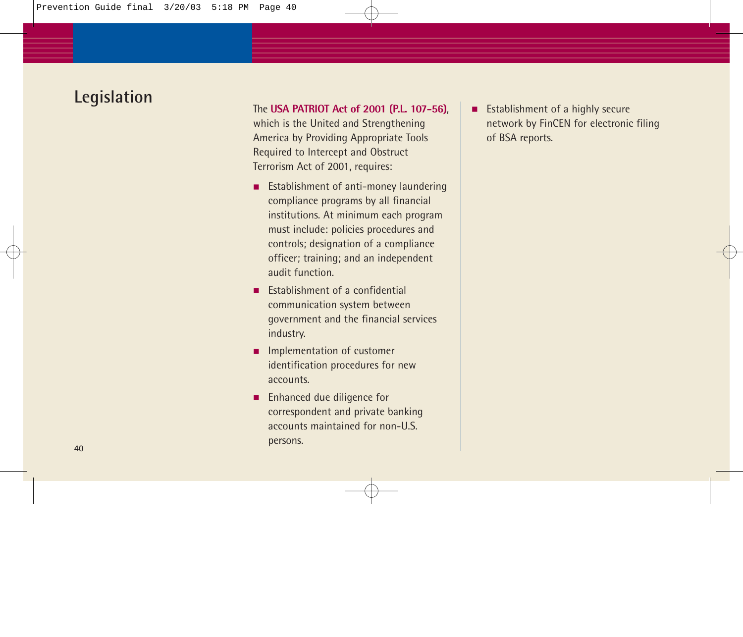#### The **USA PATRIOT Act of 2001 (P.L. 107-56)**,

which is the United and Strengthening America by Providing Appropriate Tools Required to Intercept and Obstruct Terrorism Act of 2001, requires:

- Establishment of anti-money laundering compliance programs by all financial institutions. At minimum each program must include: policies procedures and controls; designation of a compliance officer; training; and an independent audit function.
- Establishment of a confidential communication system between government and the financial services industry.
- Implementation of customer identification procedures for new accounts.
- Enhanced due diligence for correspondent and private banking accounts maintained for non-U.S. persons.

■ Establishment of a highly secure network by FinCEN for electronic filing of BSA reports.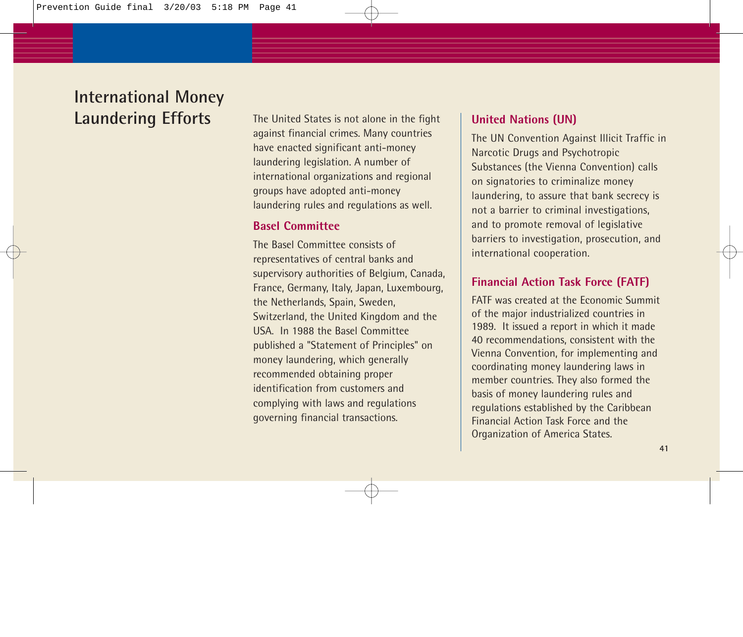## **International Money Laundering Efforts**

The United States is not alone in the fight against financial crimes. Many countries have enacted significant anti-money laundering legislation. A number of international organizations and regional groups have adopted anti-money laundering rules and regulations as well.

#### **Basel Committee**

The Basel Committee consists of representatives of central banks and supervisory authorities of Belgium, Canada, France, Germany, Italy, Japan, Luxembourg, the Netherlands, Spain, Sweden, Switzerland, the United Kingdom and the USA. In 1988 the Basel Committee published a "Statement of Principles" on money laundering, which generally recommended obtaining proper identification from customers and complying with laws and regulations governing financial transactions.

#### **United Nations (UN)**

The UN Convention Against Illicit Traffic in Narcotic Drugs and Psychotropic Substances (the Vienna Convention) calls on signatories to criminalize money laundering, to assure that bank secrecy is not a barrier to criminal investigations, and to promote removal of legislative barriers to investigation, prosecution, and international cooperation.

#### **Financial Action Task Force (FATF)**

FATF was created at the Economic Summit of the major industrialized countries in 1989. It issued a report in which it made 40 recommendations, consistent with the Vienna Convention, for implementing and coordinating money laundering laws in member countries. They also formed the basis of money laundering rules and regulations established by the Caribbean Financial Action Task Force and the Organization of America States.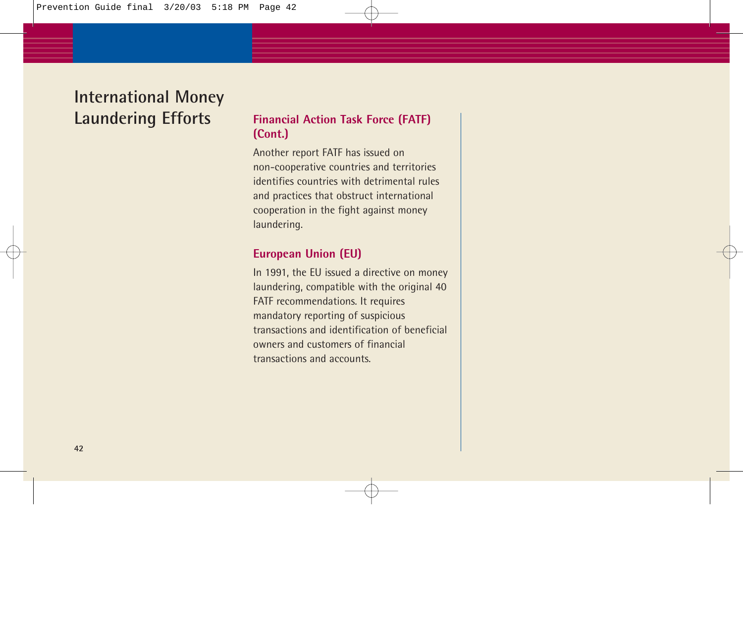## **International Money Laundering Efforts**

#### **Financial Action Task Force (FATF) (Cont.)**

Another report FATF has issued on non-cooperative countries and territories identifies countries with detrimental rules and practices that obstruct international cooperation in the fight against money laundering.

#### **European Union (EU)**

In 1991, the EU issued a directive on money laundering, compatible with the original 40 FATF recommendations. It requires mandatory reporting of suspicious transactions and identification of beneficial owners and customers of financial transactions and accounts.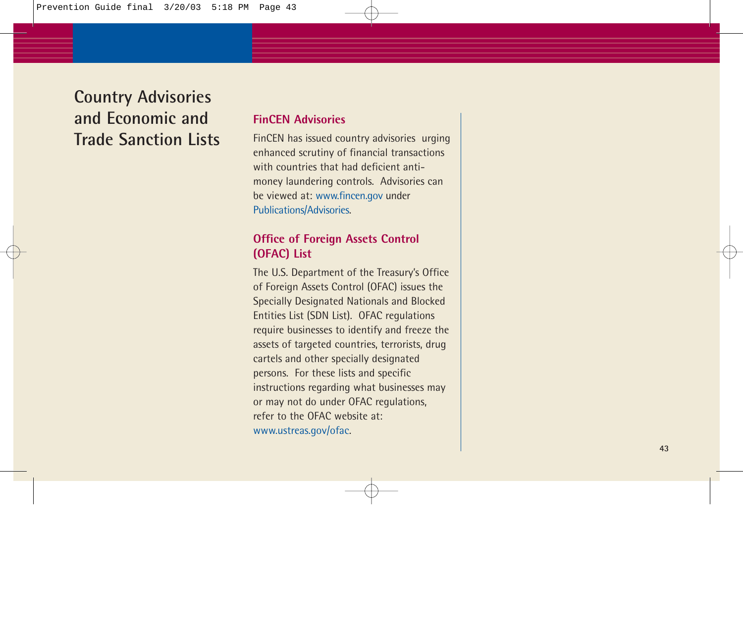## **Country Advisories and Economic and Trade Sanction Lists**

#### **FinCEN Advisories**

FinCEN has issued country advisories urging enhanced scrutiny of financial transactions with countries that had deficient antimoney laundering controls. Advisories can be viewed at: www.fincen.gov under Publications/Advisories.

#### **Office of Foreign Assets Control (OFAC) List**

The U.S. Department of the Treasury's Office of Foreign Assets Control (OFAC) issues the Specially Designated Nationals and Blocked Entities List (SDN List). OFAC regulations require businesses to identify and freeze the assets of targeted countries, terrorists, drug cartels and other specially designated persons. For these lists and specific instructions regarding what businesses may or may not do under OFAC regulations, refer to the OFAC website at: www.ustreas.gov/ofac.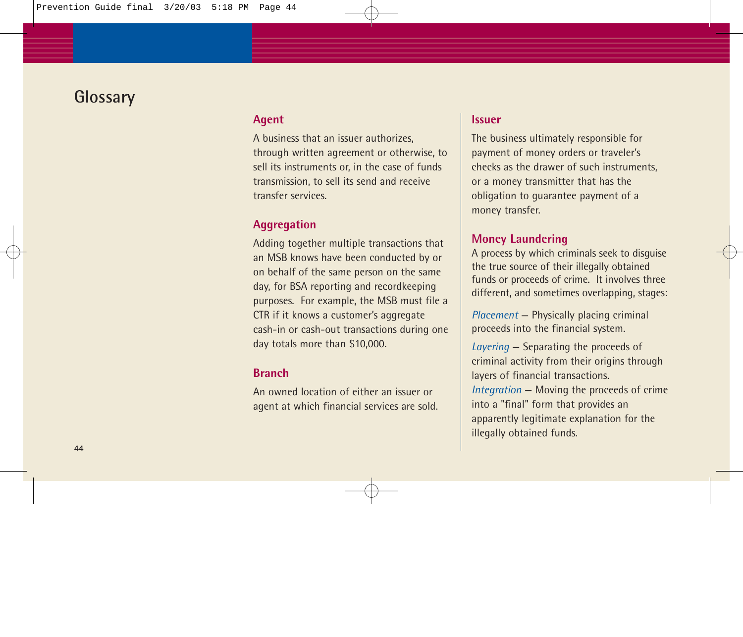## **Glossary**

#### **Agent**

A business that an issuer authorizes, through written agreement or otherwise, to sell its instruments or, in the case of funds transmission, to sell its send and receive transfer services.

#### **Aggregation**

Adding together multiple transactions that an MSB knows have been conducted by or on behalf of the same person on the same day, for BSA reporting and recordkeeping purposes. For example, the MSB must file a CTR if it knows a customer's aggregate cash-in or cash-out transactions during one day totals more than \$10,000.

#### **Branch**

An owned location of either an issuer or agent at which financial services are sold.

#### **Issuer**

The business ultimately responsible for payment of money orders or traveler's checks as the drawer of such instruments, or a money transmitter that has the obligation to guarantee payment of a money transfer.

#### **Money Laundering**

A process by which criminals seek to disguise the true source of their illegally obtained funds or proceeds of crime. It involves three different, and sometimes overlapping, stages:

*Placement* — Physically placing criminal proceeds into the financial system.

*Layering* — Separating the proceeds of criminal activity from their origins through layers of financial transactions. *Integration* — Moving the proceeds of crime into a "final" form that provides an apparently legitimate explanation for the illegally obtained funds.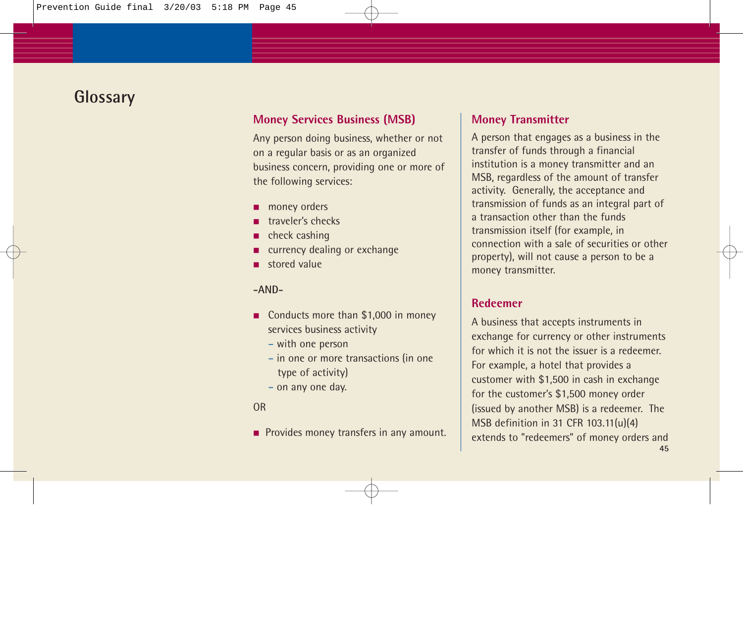## **Glossary**

#### **Money Services Business (MSB)**

Any person doing business, whether or not on a regular basis or as an organized business concern, providing one or more of the following services:

- money orders
- traveler's checks
- check cashing
- currency dealing or exchange
- stored value

#### **-AND-**

- Conducts more than \$1,000 in money services business activity
	- with one person
	- in one or more transactions (in one type of activity)
	- on any one day.

#### OR

■ Provides money transfers in any amount.

#### **Money Transmitter**

A person that engages as a business in the transfer of funds through a financial institution is a money transmitter and an MSB, regardless of the amount of transfer activity. Generally, the acceptance and transmission of funds as an integral part of a transaction other than the funds transmission itself (for example, in connection with a sale of securities or other property), will not cause a person to be a money transmitter.

#### **Redeemer**

A business that accepts instruments in exchange for currency or other instruments for which it is not the issuer is a redeemer. For example, a hotel that provides a customer with \$1,500 in cash in exchange for the customer's \$1,500 money order (issued by another MSB) is a redeemer. The MSB definition in 31 CFR 103.11(u)(4) extends to "redeemers" of money orders and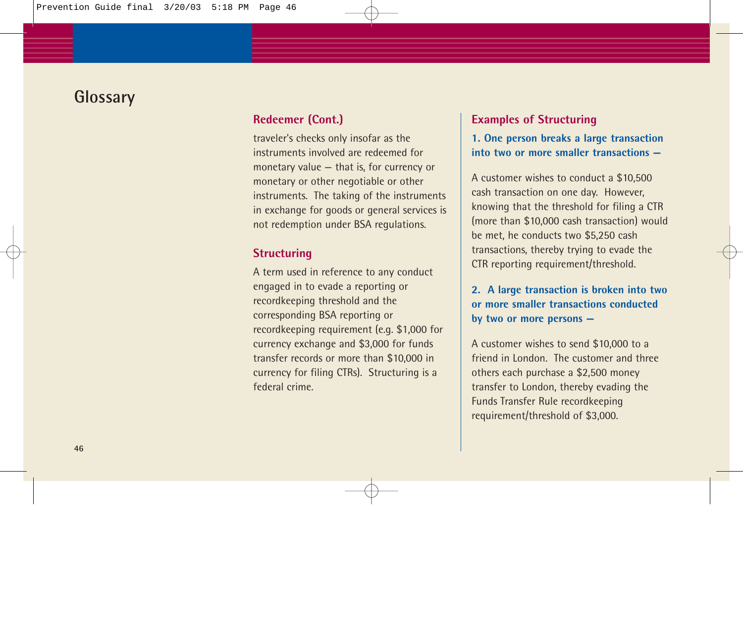## **Glossary**

#### **Redeemer (Cont.)**

traveler's checks only insofar as the instruments involved are redeemed for monetary value — that is, for currency or monetary or other negotiable or other instruments. The taking of the instruments in exchange for goods or general services is not redemption under BSA regulations.

#### **Structuring**

A term used in reference to any conduct engaged in to evade a reporting or recordkeeping threshold and the corresponding BSA reporting or recordkeeping requirement (e.g. \$1,000 for currency exchange and \$3,000 for funds transfer records or more than \$10,000 in currency for filing CTRs). Structuring is a federal crime.

#### **Examples of Structuring**

#### **1. One person breaks a large transaction into two or more smaller transactions —**

A customer wishes to conduct a \$10,500 cash transaction on one day. However, knowing that the threshold for filing a CTR (more than \$10,000 cash transaction) would be met, he conducts two \$5,250 cash transactions, thereby trying to evade the CTR reporting requirement/threshold.

**2. A large transaction is broken into two or more smaller transactions conducted by two or more persons —**

A customer wishes to send \$10,000 to a friend in London. The customer and three others each purchase a \$2,500 money transfer to London, thereby evading the Funds Transfer Rule recordkeeping requirement/threshold of \$3,000.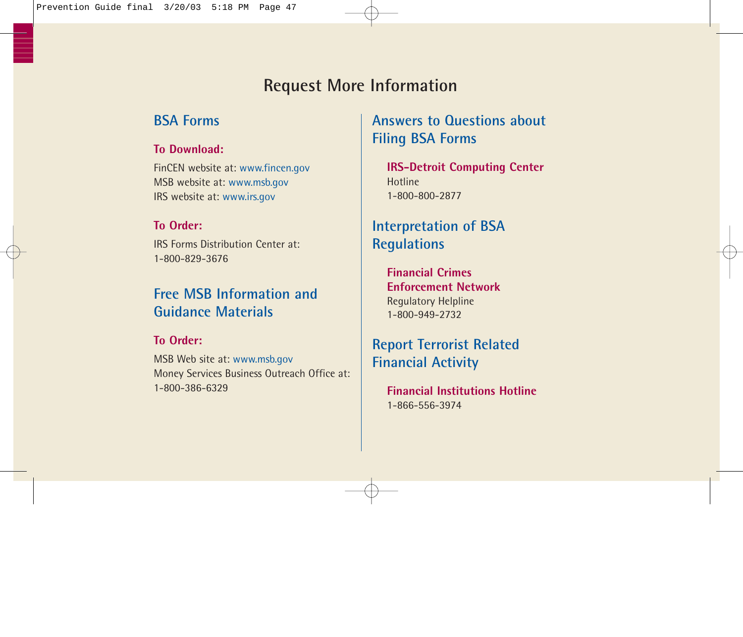## **Request More Information**

### **BSA Forms**

#### **To Download:**

FinCEN website at: www.fincen.gov MSB website at: www.msb.gov IRS website at: www.irs.gov

#### **To Order:**

IRS Forms Distribution Center at: 1-800-829-3676

### **Free MSB Information and Guidance Materials**

#### **To Order:**

MSB Web site at: www.msb.gov Money Services Business Outreach Office at: 1-800-386-6329

## **Answers to Questions about Filing BSA Forms**

**IRS-Detroit Computing Center** Hotline 1-800-800-2877

## **Interpretation of BSA Regulations**

**Financial Crimes Enforcement Network** Regulatory Helpline 1-800-949-2732

**Report Terrorist Related Financial Activity**

**Financial Institutions Hotline** 1-866-556-3974